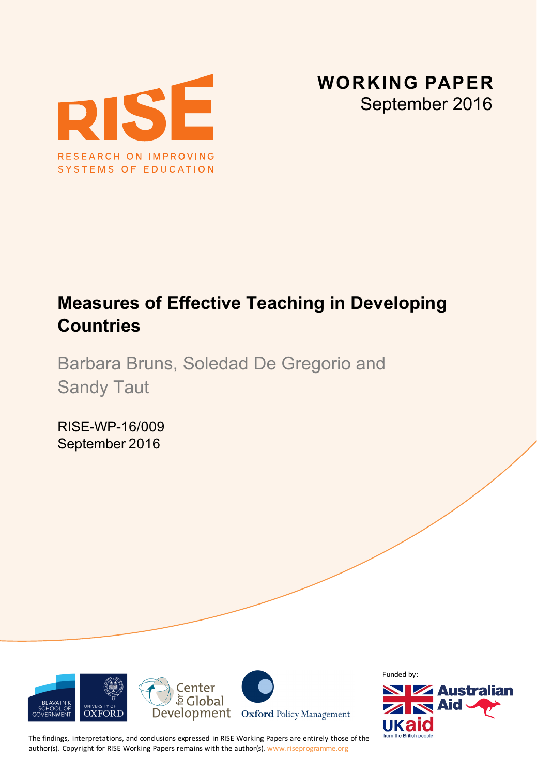

# **WORKING PAPER** September 2016

# **Measures of Effective Teaching in Developing Countries**

Barbara Bruns, Soledad De Gregorio and Sandy Taut

RISE-WP-16/009 September 2016





The findings, interpretations, and conclusions expressed in RISE Working Papers are entirely those of the author(s). Copyright for RISE Working Papers remains with the author(s). www.riseprogramme.org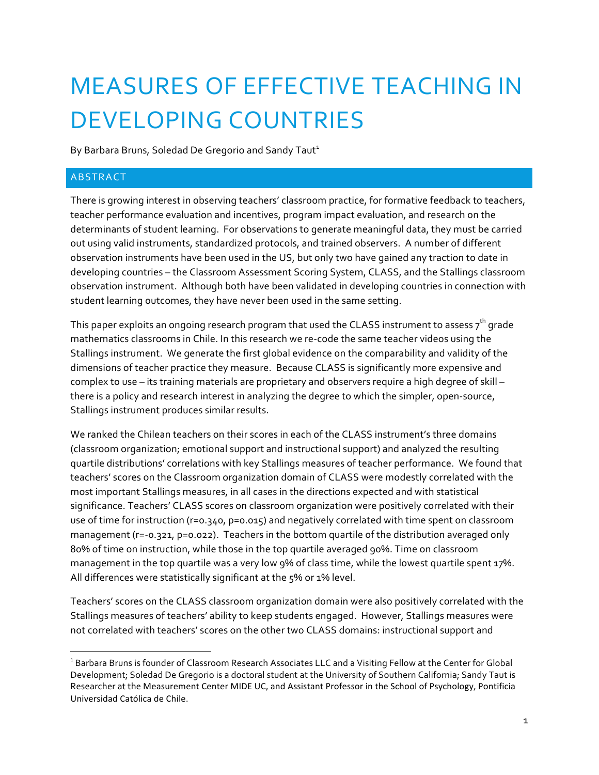# MEASURES OF EFFECTIVE TEACHING IN DEVELOPING COUNTRIES

By Barbara Bruns, Soledad De Gregorio and Sandy Taut<sup>1</sup>

#### ABSTRACT

There is growing interest in observing teachers' classroom practice, for formative feedback to teachers, teacher performance evaluation and incentives, program impact evaluation, and research on the determinants of student learning. For observations to generate meaningful data, they must be carried out using valid instruments, standardized protocols, and trained observers. A number of different observation instruments have been used in the US, but only two have gained any traction to date in developing countries – the Classroom Assessment Scoring System, CLASS, and the Stallings classroom observation instrument. Although both have been validated in developing countries in connection with student learning outcomes, they have never been used in the same setting.

This paper exploits an ongoing research program that used the CLASS instrument to assess  $7<sup>th</sup>$  grade mathematics classrooms in Chile. In this research we re-code the same teacher videos using the Stallings instrument. We generate the first global evidence on the comparability and validity of the dimensions of teacher practice they measure. Because CLASS is significantly more expensive and complex to use – its training materials are proprietary and observers require a high degree of skill – there is a policy and research interest in analyzing the degree to which the simpler, open-source, Stallings instrument produces similar results.

We ranked the Chilean teachers on their scores in each of the CLASS instrument's three domains (classroom organization; emotional support and instructional support) and analyzed the resulting quartile distributions' correlations with key Stallings measures of teacher performance. We found that teachers' scores on the Classroom organization domain of CLASS were modestly correlated with the most important Stallings measures, in all cases in the directions expected and with statistical significance. Teachers' CLASS scores on classroom organization were positively correlated with their use of time for instruction (r=0.340, p=0.015) and negatively correlated with time spent on classroom management (r=-0.321, p=0.022). Teachers in the bottom quartile of the distribution averaged only 80% of time on instruction, while those in the top quartile averaged 90%. Time on classroom management in the top quartile was a very low 9% of class time, while the lowest quartile spent 17%. All differences were statistically significant at the 5% or 1% level.

Teachers' scores on the CLASS classroom organization domain were also positively correlated with the Stallings measures of teachers' ability to keep students engaged. However, Stallings measures were not correlated with teachers' scores on the other two CLASS domains: instructional support and

<sup>-&</sup>lt;br>1 <sup>1</sup> Barbara Bruns is founder of Classroom Research Associates LLC and a Visiting Fellow at the Center for Global Development; Soledad De Gregorio is a doctoral student at the University of Southern California; Sandy Taut is Researcher at the Measurement Center MIDE UC, and Assistant Professor in the School of Psychology, Pontificia Universidad Católica de Chile.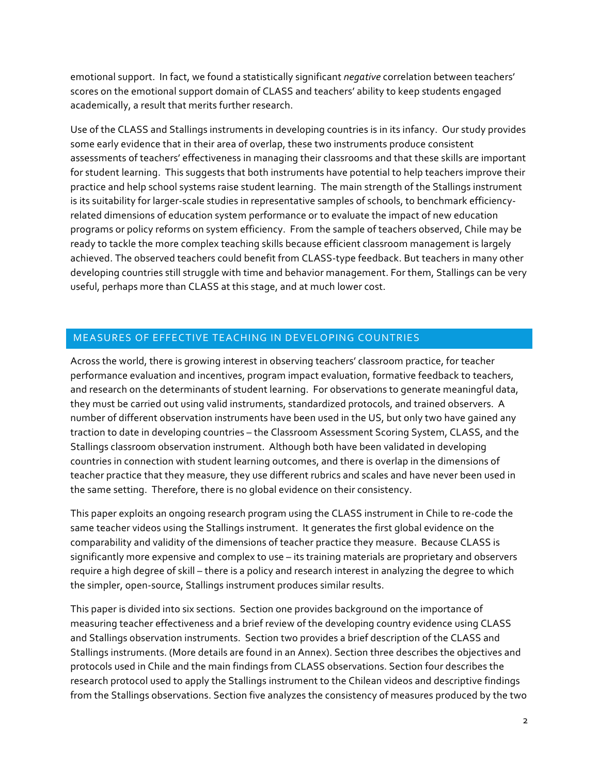emotional support. In fact, we found a statistically significant *negative* correlation between teachers' scores on the emotional support domain of CLASS and teachers' ability to keep students engaged academically, a result that merits further research.

Use of the CLASS and Stallings instruments in developing countries is in its infancy. Our study provides some early evidence that in their area of overlap, these two instruments produce consistent assessments of teachers' effectiveness in managing their classrooms and that these skills are important for student learning. This suggests that both instruments have potential to help teachers improve their practice and help school systems raise student learning. The main strength of the Stallings instrument is its suitability for larger-scale studies in representative samples of schools, to benchmark efficiencyrelated dimensions of education system performance or to evaluate the impact of new education programs or policy reforms on system efficiency. From the sample of teachers observed, Chile may be ready to tackle the more complex teaching skills because efficient classroom management is largely achieved. The observed teachers could benefit from CLASS-type feedback. But teachers in many other developing countries still struggle with time and behavior management. For them, Stallings can be very useful, perhaps more than CLASS at this stage, and at much lower cost.

#### MEASURES OF EFFECTIVE TEACHING IN DEVELOPING COUNTRIES

Across the world, there is growing interest in observing teachers' classroom practice, for teacher performance evaluation and incentives, program impact evaluation, formative feedback to teachers, and research on the determinants of student learning. For observations to generate meaningful data, they must be carried out using valid instruments, standardized protocols, and trained observers. A number of different observation instruments have been used in the US, but only two have gained any traction to date in developing countries – the Classroom Assessment Scoring System, CLASS, and the Stallings classroom observation instrument. Although both have been validated in developing countries in connection with student learning outcomes, and there is overlap in the dimensions of teacher practice that they measure, they use different rubrics and scales and have never been used in the same setting. Therefore, there is no global evidence on their consistency.

This paper exploits an ongoing research program using the CLASS instrument in Chile to re-code the same teacher videos using the Stallings instrument. It generates the first global evidence on the comparability and validity of the dimensions of teacher practice they measure. Because CLASS is significantly more expensive and complex to use – its training materials are proprietary and observers require a high degree of skill – there is a policy and research interest in analyzing the degree to which the simpler, open-source, Stallings instrument produces similar results.

This paper is divided into six sections. Section one provides background on the importance of measuring teacher effectiveness and a brief review of the developing country evidence using CLASS and Stallings observation instruments. Section two provides a brief description of the CLASS and Stallings instruments. (More details are found in an Annex). Section three describes the objectives and protocols used in Chile and the main findings from CLASS observations. Section four describes the research protocol used to apply the Stallings instrument to the Chilean videos and descriptive findings from the Stallings observations. Section five analyzes the consistency of measures produced by the two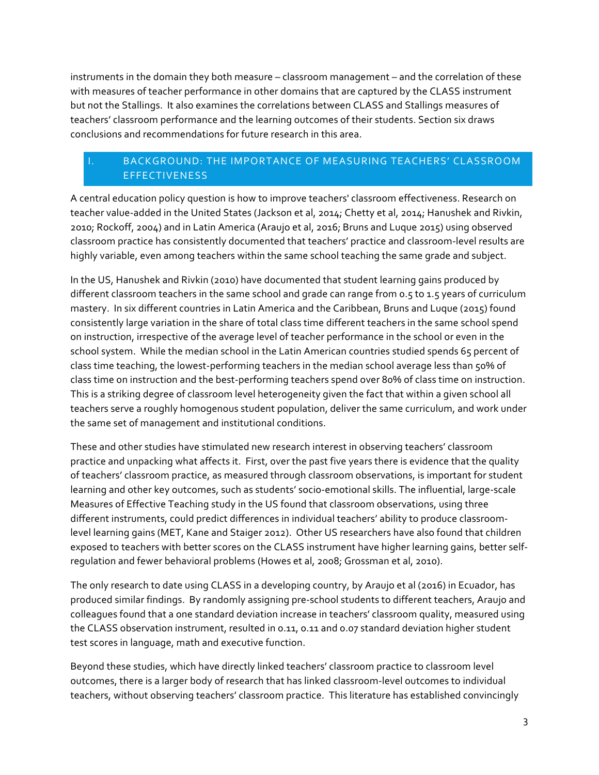instruments in the domain they both measure – classroom management – and the correlation of these with measures of teacher performance in other domains that are captured by the CLASS instrument but not the Stallings. It also examines the correlations between CLASS and Stallings measures of teachers' classroom performance and the learning outcomes of their students. Section six draws conclusions and recommendations for future research in this area.

# BACKGROUND: THE IMPORTANCE OF MEASURING TEACHERS' CLASSROOM EFFECTIVENESS

A central education policy question is how to improve teachers' classroom effectiveness. Research on teacher value-added in the United States (Jackson et al, 2014; Chetty et al, 2014; Hanushek and Rivkin, 2010; Rockoff, 2004) and in Latin America (Araujo et al, 2016; Bruns and Luque 2015) using observed classroom practice has consistently documented that teachers' practice and classroom-level results are highly variable, even among teachers within the same school teaching the same grade and subject.

In the US, Hanushek and Rivkin (2010) have documented that student learning gains produced by different classroom teachers in the same school and grade can range from 0.5 to 1.5 years of curriculum mastery. In six different countries in Latin America and the Caribbean, Bruns and Luque (2015) found consistently large variation in the share of total class time different teachers in the same school spend on instruction, irrespective of the average level of teacher performance in the school or even in the school system. While the median school in the Latin American countries studied spends 65 percent of class time teaching, the lowest-performing teachers in the median school average less than 50% of class time on instruction and the best-performing teachers spend over 80% of class time on instruction. This is a striking degree of classroom level heterogeneity given the fact that within a given school all teachers serve a roughly homogenous student population, deliver the same curriculum, and work under the same set of management and institutional conditions.

These and other studies have stimulated new research interest in observing teachers' classroom practice and unpacking what affects it. First, over the past five years there is evidence that the quality of teachers' classroom practice, as measured through classroom observations, is important for student learning and other key outcomes, such as students' socio-emotional skills. The influential, large-scale Measures of Effective Teaching study in the US found that classroom observations, using three different instruments, could predict differences in individual teachers' ability to produce classroomlevel learning gains (MET, Kane and Staiger 2012). Other US researchers have also found that children exposed to teachers with better scores on the CLASS instrument have higher learning gains, better selfregulation and fewer behavioral problems (Howes et al, 2008; Grossman et al, 2010).

The only research to date using CLASS in a developing country, by Araujo et al (2016) in Ecuador, has produced similar findings. By randomly assigning pre-school students to different teachers, Araujo and colleagues found that a one standard deviation increase in teachers' classroom quality, measured using the CLASS observation instrument, resulted in 0.11, 0.11 and 0.07 standard deviation higher student test scores in language, math and executive function.

Beyond these studies, which have directly linked teachers' classroom practice to classroom level outcomes, there is a larger body of research that has linked classroom-level outcomes to individual teachers, without observing teachers' classroom practice. This literature has established convincingly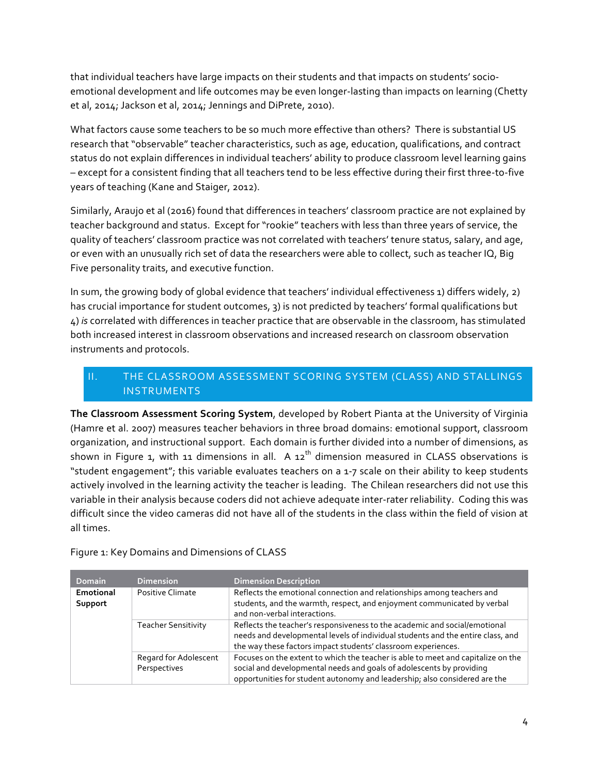that individual teachers have large impacts on their students and that impacts on students' socioemotional development and life outcomes may be even longer-lasting than impacts on learning (Chetty et al, 2014; Jackson et al, 2014; Jennings and DiPrete, 2010).

What factors cause some teachers to be so much more effective than others? There is substantial US research that "observable" teacher characteristics, such as age, education, qualifications, and contract status do not explain differences in individual teachers' ability to produce classroom level learning gains – except for a consistent finding that all teachers tend to be less effective during their first three-to-five years of teaching (Kane and Staiger, 2012).

Similarly, Araujo et al (2016) found that differences in teachers' classroom practice are not explained by teacher background and status. Except for "rookie" teachers with less than three years of service, the quality of teachers' classroom practice was not correlated with teachers' tenure status, salary, and age, or even with an unusually rich set of data the researchers were able to collect, such as teacher IQ, Big Five personality traits, and executive function.

In sum, the growing body of global evidence that teachers' individual effectiveness 1) differs widely, 2) has crucial importance for student outcomes, 3) is not predicted by teachers' formal qualifications but 4) *is* correlated with differences in teacher practice that are observable in the classroom, has stimulated both increased interest in classroom observations and increased research on classroom observation instruments and protocols.

# II. THE CLASSROOM ASSESSMENT SCORING SYSTEM (CLASS) AND STALLINGS **INSTRUMENTS**

**The Classroom Assessment Scoring System**, developed by Robert Pianta at the University of Virginia (Hamre et al. 2007) measures teacher behaviors in three broad domains: emotional support, classroom organization, and instructional support. Each domain is further divided into a number of dimensions, as shown in Figure 1, with 11 dimensions in all. A  $12<sup>th</sup>$  dimension measured in CLASS observations is "student engagement"; this variable evaluates teachers on a 1-7 scale on their ability to keep students actively involved in the learning activity the teacher is leading. The Chilean researchers did not use this variable in their analysis because coders did not achieve adequate inter-rater reliability. Coding this was difficult since the video cameras did not have all of the students in the class within the field of vision at all times.

| <b>Domain</b>        | <b>Dimension</b>                      | <b>Dimension Description</b>                                                                                                                                                                                                           |
|----------------------|---------------------------------------|----------------------------------------------------------------------------------------------------------------------------------------------------------------------------------------------------------------------------------------|
| Emotional<br>Support | Positive Climate                      | Reflects the emotional connection and relationships among teachers and<br>students, and the warmth, respect, and enjoyment communicated by verbal<br>and non-verbal interactions.                                                      |
|                      | <b>Teacher Sensitivity</b>            | Reflects the teacher's responsiveness to the academic and social/emotional<br>needs and developmental levels of individual students and the entire class, and<br>the way these factors impact students' classroom experiences.         |
|                      | Regard for Adolescent<br>Perspectives | Focuses on the extent to which the teacher is able to meet and capitalize on the<br>social and developmental needs and goals of adolescents by providing<br>opportunities for student autonomy and leadership; also considered are the |

Figure 1: Key Domains and Dimensions of CLASS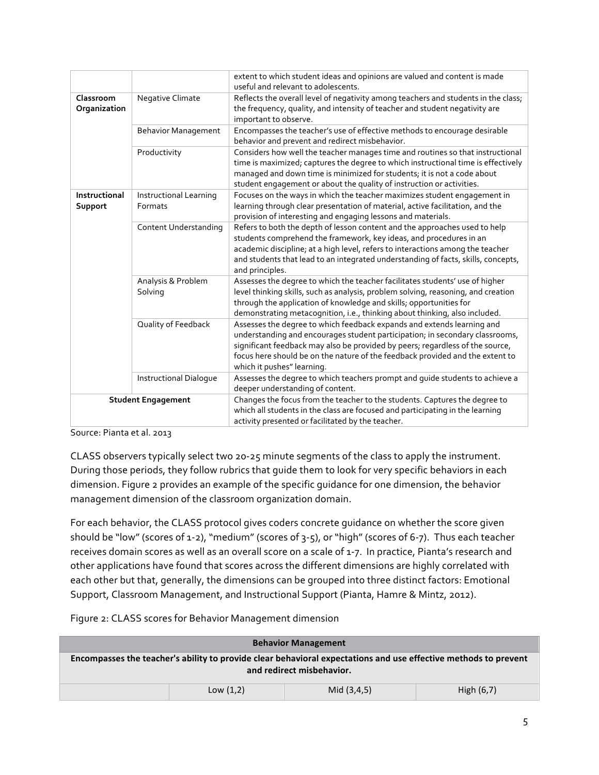|                           |                                   | extent to which student ideas and opinions are valued and content is made<br>useful and relevant to adolescents.                                                                                                                                                                                                                                       |
|---------------------------|-----------------------------------|--------------------------------------------------------------------------------------------------------------------------------------------------------------------------------------------------------------------------------------------------------------------------------------------------------------------------------------------------------|
| Classroom<br>Organization | Negative Climate                  | Reflects the overall level of negativity among teachers and students in the class;<br>the frequency, quality, and intensity of teacher and student negativity are<br>important to observe.                                                                                                                                                             |
|                           | <b>Behavior Management</b>        | Encompasses the teacher's use of effective methods to encourage desirable<br>behavior and prevent and redirect misbehavior.                                                                                                                                                                                                                            |
|                           | Productivity                      | Considers how well the teacher manages time and routines so that instructional<br>time is maximized; captures the degree to which instructional time is effectively<br>managed and down time is minimized for students; it is not a code about<br>student engagement or about the quality of instruction or activities.                                |
| Instructional<br>Support  | Instructional Learning<br>Formats | Focuses on the ways in which the teacher maximizes student engagement in<br>learning through clear presentation of material, active facilitation, and the<br>provision of interesting and engaging lessons and materials.                                                                                                                              |
|                           | Content Understanding             | Refers to both the depth of lesson content and the approaches used to help<br>students comprehend the framework, key ideas, and procedures in an<br>academic discipline; at a high level, refers to interactions among the teacher<br>and students that lead to an integrated understanding of facts, skills, concepts,<br>and principles.             |
|                           | Analysis & Problem<br>Solving     | Assesses the degree to which the teacher facilitates students' use of higher<br>level thinking skills, such as analysis, problem solving, reasoning, and creation<br>through the application of knowledge and skills; opportunities for<br>demonstrating metacognition, i.e., thinking about thinking, also included.                                  |
|                           | Quality of Feedback               | Assesses the degree to which feedback expands and extends learning and<br>understanding and encourages student participation; in secondary classrooms,<br>significant feedback may also be provided by peers; regardless of the source,<br>focus here should be on the nature of the feedback provided and the extent to<br>which it pushes" learning. |
|                           | <b>Instructional Dialogue</b>     | Assesses the degree to which teachers prompt and guide students to achieve a<br>deeper understanding of content.                                                                                                                                                                                                                                       |
| <b>Student Engagement</b> |                                   | Changes the focus from the teacher to the students. Captures the degree to<br>which all students in the class are focused and participating in the learning<br>activity presented or facilitated by the teacher.                                                                                                                                       |

Source: Pianta et al. 2013

CLASS observers typically select two 20-25 minute segments of the class to apply the instrument. During those periods, they follow rubrics that guide them to look for very specific behaviors in each dimension. Figure 2 provides an example of the specific guidance for one dimension, the behavior management dimension of the classroom organization domain.

For each behavior, the CLASS protocol gives coders concrete guidance on whether the score given should be "low" (scores of 1-2), "medium" (scores of 3-5), or "high" (scores of 6-7). Thus each teacher receives domain scores as well as an overall score on a scale of 1-7. In practice, Pianta's research and other applications have found that scores across the different dimensions are highly correlated with each other but that, generally, the dimensions can be grouped into three distinct factors: Emotional Support, Classroom Management, and Instructional Support (Pianta, Hamre & Mintz, 2012).

|  |  |  | Figure 2: CLASS scores for Behavior Management dimension |
|--|--|--|----------------------------------------------------------|
|  |  |  |                                                          |

| <b>Behavior Management</b>                                                                                                                   |  |  |  |  |  |
|----------------------------------------------------------------------------------------------------------------------------------------------|--|--|--|--|--|
| Encompasses the teacher's ability to provide clear behavioral expectations and use effective methods to prevent<br>and redirect misbehavior. |  |  |  |  |  |
|                                                                                                                                              |  |  |  |  |  |
| Mid (3,4,5)<br>High $(6,7)$<br>Low $(1,2)$                                                                                                   |  |  |  |  |  |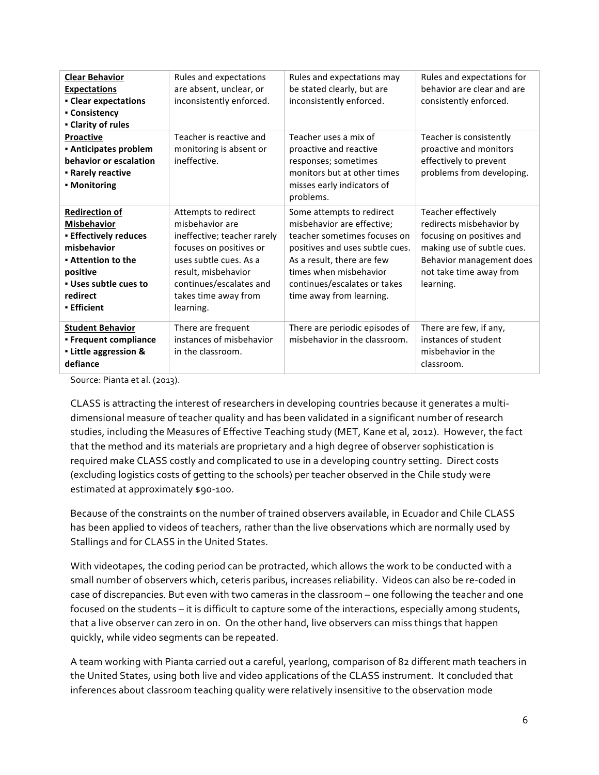| <b>Clear Behavior</b><br><b>Expectations</b><br>• Clear expectations<br>• Consistency<br>• Clarity of rules                                                                           | Rules and expectations<br>are absent, unclear, or<br>inconsistently enforced.                                                                                                                                      | Rules and expectations may<br>be stated clearly, but are<br>inconsistently enforced.                                                                                                                                                           | Rules and expectations for<br>behavior are clear and are<br>consistently enforced.                                                                                             |
|---------------------------------------------------------------------------------------------------------------------------------------------------------------------------------------|--------------------------------------------------------------------------------------------------------------------------------------------------------------------------------------------------------------------|------------------------------------------------------------------------------------------------------------------------------------------------------------------------------------------------------------------------------------------------|--------------------------------------------------------------------------------------------------------------------------------------------------------------------------------|
| <b>Proactive</b><br><b>Anticipates problem</b><br>behavior or escalation<br>- Rarely reactive<br>• Monitoring                                                                         | Teacher is reactive and<br>monitoring is absent or<br>ineffective.                                                                                                                                                 | Teacher uses a mix of<br>proactive and reactive<br>responses; sometimes<br>monitors but at other times<br>misses early indicators of<br>problems.                                                                                              | Teacher is consistently<br>proactive and monitors<br>effectively to prevent<br>problems from developing.                                                                       |
| <b>Redirection of</b><br><b>Misbehavior</b><br><b>Effectively reduces</b><br>misbehavior<br><b>• Attention to the</b><br>positive<br>. Uses subtle cues to<br>redirect<br>• Efficient | Attempts to redirect<br>misbehavior are<br>ineffective; teacher rarely<br>focuses on positives or<br>uses subtle cues. As a<br>result, misbehavior<br>continues/escalates and<br>takes time away from<br>learning. | Some attempts to redirect<br>misbehavior are effective;<br>teacher sometimes focuses on<br>positives and uses subtle cues.<br>As a result, there are few<br>times when misbehavior<br>continues/escalates or takes<br>time away from learning. | Teacher effectively<br>redirects misbehavior by<br>focusing on positives and<br>making use of subtle cues.<br>Behavior management does<br>not take time away from<br>learning. |
| <b>Student Behavior</b><br>• Frequent compliance<br>• Little aggression &<br>defiance                                                                                                 | There are frequent<br>instances of misbehavior<br>in the classroom.                                                                                                                                                | There are periodic episodes of<br>misbehavior in the classroom.                                                                                                                                                                                | There are few, if any,<br>instances of student<br>misbehavior in the<br>classroom.                                                                                             |

Source: Pianta et al. (2013).

CLASS is attracting the interest of researchers in developing countries because it generates a multidimensional measure of teacher quality and has been validated in a significant number of research studies, including the Measures of Effective Teaching study (MET, Kane et al, 2012). However, the fact that the method and its materials are proprietary and a high degree of observer sophistication is required make CLASS costly and complicated to use in a developing country setting. Direct costs (excluding logistics costs of getting to the schools) per teacher observed in the Chile study were estimated at approximately \$90-100.

Because of the constraints on the number of trained observers available, in Ecuador and Chile CLASS has been applied to videos of teachers, rather than the live observations which are normally used by Stallings and for CLASS in the United States.

With videotapes, the coding period can be protracted, which allows the work to be conducted with a small number of observers which, ceteris paribus, increases reliability. Videos can also be re-coded in case of discrepancies. But even with two cameras in the classroom – one following the teacher and one focused on the students – it is difficult to capture some of the interactions, especially among students, that a live observer can zero in on. On the other hand, live observers can miss things that happen quickly, while video segments can be repeated.

A team working with Pianta carried out a careful, yearlong, comparison of 82 different math teachers in the United States, using both live and video applications of the CLASS instrument. It concluded that inferences about classroom teaching quality were relatively insensitive to the observation mode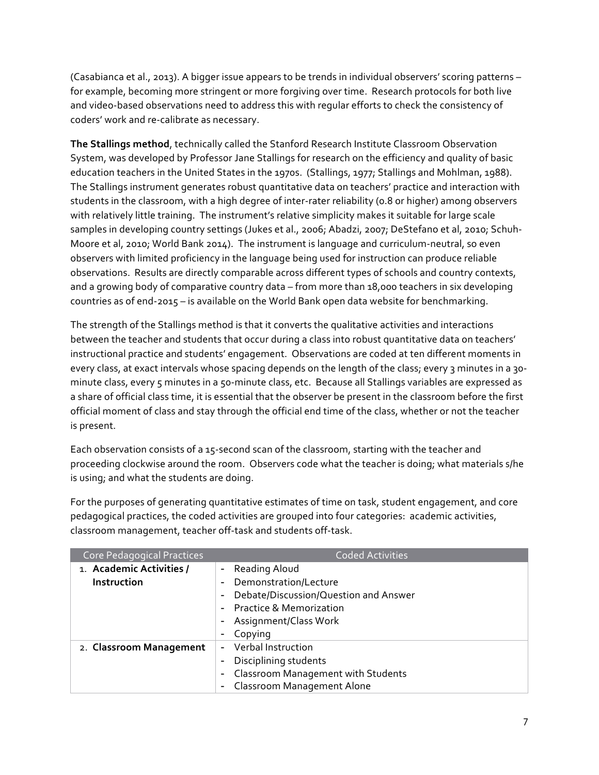(Casabianca et al., 2013). A bigger issue appears to be trends in individual observers' scoring patterns – for example, becoming more stringent or more forgiving over time. Research protocols for both live and video-based observations need to address this with regular efforts to check the consistency of coders' work and re-calibrate as necessary.

**The Stallings method**, technically called the Stanford Research Institute Classroom Observation System, was developed by Professor Jane Stallings for research on the efficiency and quality of basic education teachers in the United States in the 1970s. (Stallings, 1977; Stallings and Mohlman, 1988). The Stallings instrument generates robust quantitative data on teachers' practice and interaction with students in the classroom, with a high degree of inter-rater reliability (0.8 or higher) among observers with relatively little training. The instrument's relative simplicity makes it suitable for large scale samples in developing country settings (Jukes et al., 2006; Abadzi, 2007; DeStefano et al, 2010; Schuh-Moore et al, 2010; World Bank 2014). The instrument is language and curriculum-neutral, so even observers with limited proficiency in the language being used for instruction can produce reliable observations. Results are directly comparable across different types of schools and country contexts, and a growing body of comparative country data – from more than 18,000 teachers in six developing countries as of end-2015 – is available on the World Bank open data website for benchmarking.

The strength of the Stallings method is that it converts the qualitative activities and interactions between the teacher and students that occur during a class into robust quantitative data on teachers' instructional practice and students' engagement. Observations are coded at ten different moments in every class, at exact intervals whose spacing depends on the length of the class; every 3 minutes in a 30 minute class, every 5 minutes in a 50-minute class, etc. Because all Stallings variables are expressed as a share of official class time, it is essential that the observer be present in the classroom before the first official moment of class and stay through the official end time of the class, whether or not the teacher is present.

Each observation consists of a 15-second scan of the classroom, starting with the teacher and proceeding clockwise around the room. Observers code what the teacher is doing; what materials s/he is using; and what the students are doing.

For the purposes of generating quantitative estimates of time on task, student engagement, and core pedagogical practices, the coded activities are grouped into four categories: academic activities, classroom management, teacher off-task and students off-task.

| Core Pedagogical Practices | Coded Activities                      |
|----------------------------|---------------------------------------|
| 1. Academic Activities /   | - Reading Aloud                       |
| Instruction                | Demonstration/Lecture                 |
|                            | Debate/Discussion/Question and Answer |
|                            | <b>Practice &amp; Memorization</b>    |
|                            | Assignment/Class Work                 |
|                            | Copying                               |
| 2. Classroom Management    | - Verbal Instruction                  |
|                            | Disciplining students                 |
|                            | Classroom Management with Students    |
|                            | <b>Classroom Management Alone</b>     |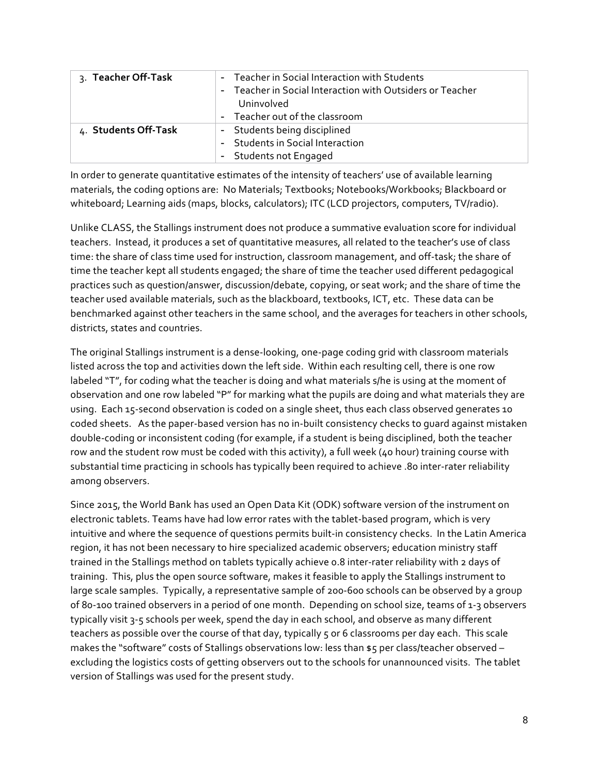| 3. Teacher Off-Task  | - Teacher in Social Interaction with Students<br>- Teacher in Social Interaction with Outsiders or Teacher<br>Uninvolved<br>- Teacher out of the classroom |
|----------------------|------------------------------------------------------------------------------------------------------------------------------------------------------------|
| 4. Students Off-Task | - Students being disciplined<br>- Students in Social Interaction<br>- Students not Engaged                                                                 |

In order to generate quantitative estimates of the intensity of teachers' use of available learning materials, the coding options are: No Materials; Textbooks; Notebooks/Workbooks; Blackboard or whiteboard; Learning aids (maps, blocks, calculators); ITC (LCD projectors, computers, TV/radio).

Unlike CLASS, the Stallings instrument does not produce a summative evaluation score for individual teachers. Instead, it produces a set of quantitative measures, all related to the teacher's use of class time: the share of class time used for instruction, classroom management, and off-task; the share of time the teacher kept all students engaged; the share of time the teacher used different pedagogical practices such as question/answer, discussion/debate, copying, or seat work; and the share of time the teacher used available materials, such as the blackboard, textbooks, ICT, etc. These data can be benchmarked against other teachers in the same school, and the averages for teachers in other schools, districts, states and countries.

The original Stallings instrument is a dense-looking, one-page coding grid with classroom materials listed across the top and activities down the left side. Within each resulting cell, there is one row labeled "T", for coding what the teacher is doing and what materials s/he is using at the moment of observation and one row labeled "P" for marking what the pupils are doing and what materials they are using. Each 15-second observation is coded on a single sheet, thus each class observed generates 10 coded sheets. As the paper-based version has no in-built consistency checks to guard against mistaken double-coding or inconsistent coding (for example, if a student is being disciplined, both the teacher row and the student row must be coded with this activity), a full week (40 hour) training course with substantial time practicing in schools has typically been required to achieve .80 inter-rater reliability among observers.

Since 2015, the World Bank has used an Open Data Kit (ODK) software version of the instrument on electronic tablets. Teams have had low error rates with the tablet-based program, which is very intuitive and where the sequence of questions permits built-in consistency checks. In the Latin America region, it has not been necessary to hire specialized academic observers; education ministry staff trained in the Stallings method on tablets typically achieve 0.8 inter-rater reliability with 2 days of training. This, plus the open source software, makes it feasible to apply the Stallings instrument to large scale samples. Typically, a representative sample of 200-600 schools can be observed by a group of 80-100 trained observers in a period of one month. Depending on school size, teams of 1-3 observers typically visit 3-5 schools per week, spend the day in each school, and observe as many different teachers as possible over the course of that day, typically 5 or 6 classrooms per day each. This scale makes the "software" costs of Stallings observations low: less than \$5 per class/teacher observed – excluding the logistics costs of getting observers out to the schools for unannounced visits. The tablet version of Stallings was used for the present study.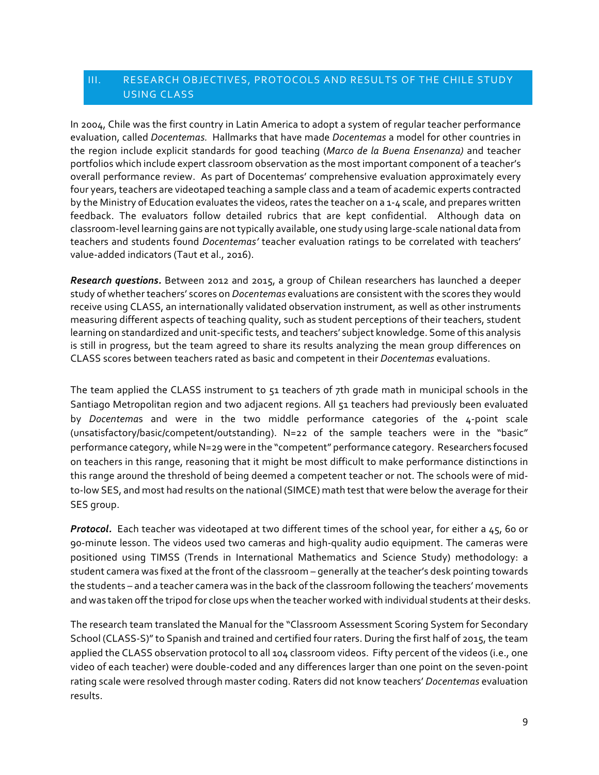#### III. RESEARCH OBJECTIVES, PROTOCOLS AND RESULTS OF THE CHILE STUDY USING CLASS

In 2004, Chile was the first country in Latin America to adopt a system of regular teacher performance evaluation, called *Docentemas.* Hallmarks that have made *Docentemas* a model for other countries in the region include explicit standards for good teaching (*Marco de la Buena Ensenanza)* and teacher portfolios which include expert classroom observation as the most important component of a teacher's overall performance review. As part of Docentemas' comprehensive evaluation approximately every four years, teachers are videotaped teaching a sample class and a team of academic experts contracted by the Ministry of Education evaluates the videos, rates the teacher on a 1-4 scale, and prepares written feedback. The evaluators follow detailed rubrics that are kept confidential. Although data on classroom-level learning gains are not typically available, one study using large-scale national data from teachers and students found *Docentemas'* teacher evaluation ratings to be correlated with teachers' value-added indicators (Taut et al., 2016).

*Research questions.* Between 2012 and 2015, a group of Chilean researchers has launched a deeper study of whether teachers' scores on *Docentemas* evaluations are consistent with the scores they would receive using CLASS, an internationally validated observation instrument, as well as other instruments measuring different aspects of teaching quality, such as student perceptions of their teachers, student learning on standardized and unit-specific tests, and teachers' subject knowledge. Some of this analysis is still in progress, but the team agreed to share its results analyzing the mean group differences on CLASS scores between teachers rated as basic and competent in their *Docentemas* evaluations.

The team applied the CLASS instrument to 51 teachers of 7th grade math in municipal schools in the Santiago Metropolitan region and two adjacent regions. All 51 teachers had previously been evaluated by *Docentema*s and were in the two middle performance categories of the 4-point scale (unsatisfactory/basic/competent/outstanding). N=22 of the sample teachers were in the "basic" performance category, while N=29 were in the "competent" performance category. Researchers focused on teachers in this range, reasoning that it might be most difficult to make performance distinctions in this range around the threshold of being deemed a competent teacher or not. The schools were of midto-low SES, and most had results on the national (SIMCE) math test that were below the average for their SES group.

*Protocol.* Each teacher was videotaped at two different times of the school year, for either a 45, 60 or 90-minute lesson. The videos used two cameras and high-quality audio equipment. The cameras were positioned using TIMSS (Trends in International Mathematics and Science Study) methodology: a student camera was fixed at the front of the classroom – generally at the teacher's desk pointing towards the students – and a teacher camera was in the back of the classroom following the teachers' movements and was taken off the tripod for close ups when the teacher worked with individual students at their desks.

The research team translated the Manual for the "Classroom Assessment Scoring System for Secondary School (CLASS-S)" to Spanish and trained and certified four raters. During the first half of 2015, the team applied the CLASS observation protocol to all 104 classroom videos. Fifty percent of the videos (i.e., one video of each teacher) were double-coded and any differences larger than one point on the seven-point rating scale were resolved through master coding. Raters did not know teachers' *Docentemas* evaluation results.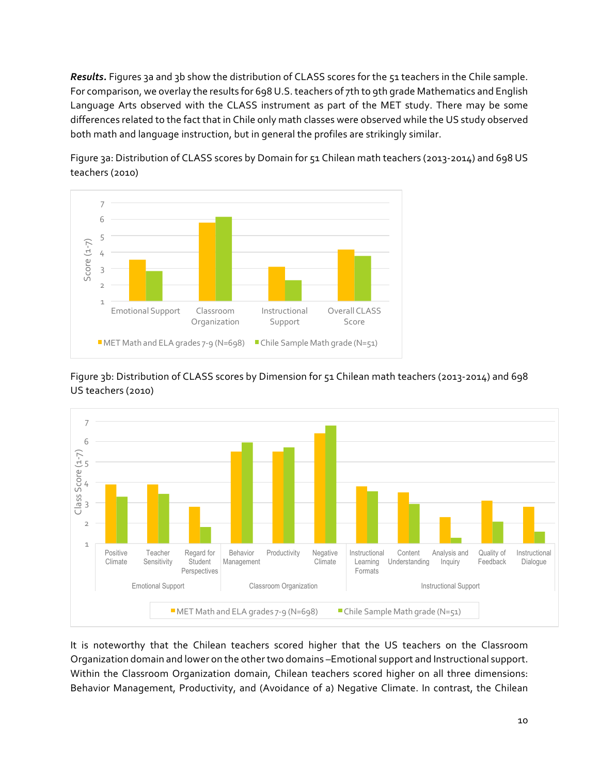*Results.* Figures 3a and 3b show the distribution of CLASS scores for the 51 teachers in the Chile sample. For comparison, we overlay the results for 698 U.S. teachers of 7th to 9th grade Mathematics and English Language Arts observed with the CLASS instrument as part of the MET study. There may be some differences related to the fact that in Chile only math classes were observed while the US study observed both math and language instruction, but in general the profiles are strikingly similar.



Figure 3a: Distribution of CLASS scores by Domain for 51 Chilean math teachers (2013-2014) and 698 US teachers (2010)





It is noteworthy that the Chilean teachers scored higher that the US teachers on the Classroom Organization domain and lower on the other two domains –Emotional support and Instructional support. Within the Classroom Organization domain, Chilean teachers scored higher on all three dimensions: Behavior Management, Productivity, and (Avoidance of a) Negative Climate. In contrast, the Chilean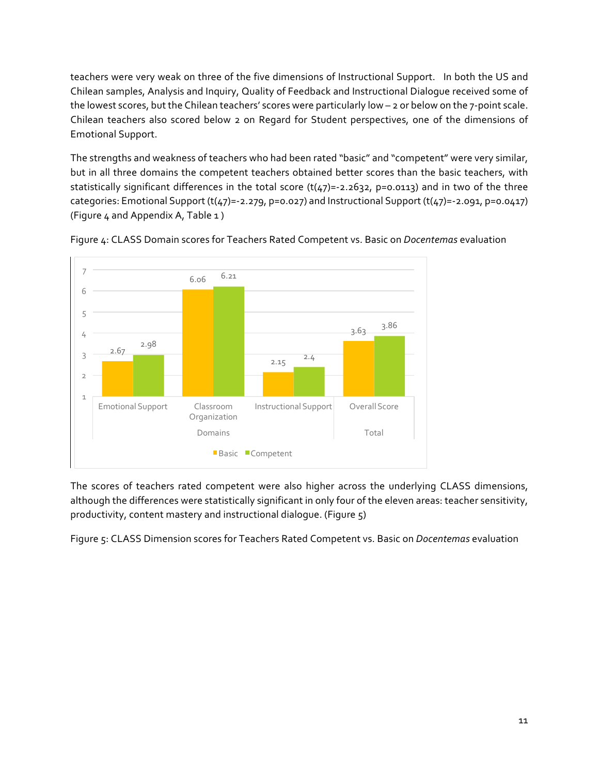teachers were very weak on three of the five dimensions of Instructional Support. In both the US and Chilean samples, Analysis and Inquiry, Quality of Feedback and Instructional Dialogue received some of the lowest scores, but the Chilean teachers' scores were particularly low – 2 or below on the 7-point scale. Chilean teachers also scored below 2 on Regard for Student perspectives, one of the dimensions of Emotional Support.

The strengths and weakness of teachers who had been rated "basic" and "competent" were very similar, but in all three domains the competent teachers obtained better scores than the basic teachers, with statistically significant differences in the total score  $(t(47)=2.2632, p=0.0113)$  and in two of the three categories: Emotional Support (t(47)=-2.279, p=0.027) and Instructional Support (t(47)=-2.091, p=0.0417) (Figure 4 and Appendix A, Table 1 )



Figure 4: CLASS Domain scores for Teachers Rated Competent vs. Basic on *Docentemas* evaluation

The scores of teachers rated competent were also higher across the underlying CLASS dimensions, although the differences were statistically significant in only four of the eleven areas: teacher sensitivity, productivity, content mastery and instructional dialogue. (Figure 5)

Figure 5: CLASS Dimension scores for Teachers Rated Competent vs. Basic on *Docentemas* evaluation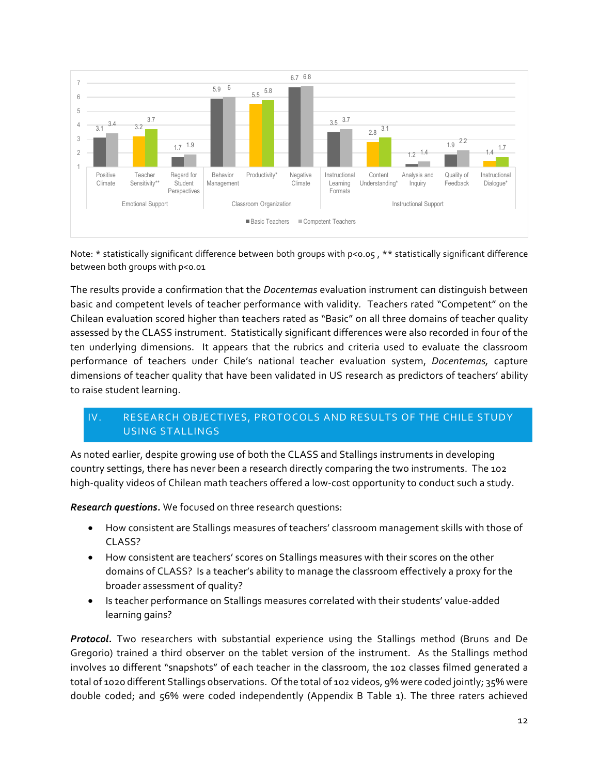

Note: \* statistically significant difference between both groups with p<0.05, \*\* statistically significant difference between both groups with p<0.01

The results provide a confirmation that the *Docentemas* evaluation instrument can distinguish between basic and competent levels of teacher performance with validity*.* Teachers rated "Competent" on the Chilean evaluation scored higher than teachers rated as "Basic" on all three domains of teacher quality assessed by the CLASS instrument. Statistically significant differences were also recorded in four of the ten underlying dimensions. It appears that the rubrics and criteria used to evaluate the classroom performance of teachers under Chile's national teacher evaluation system, *Docentemas,* capture dimensions of teacher quality that have been validated in US research as predictors of teachers' ability to raise student learning.

# IV. RESEARCH OBJECTIVES, PROTOCOLS AND RESULTS OF THE CHILE STUDY USING STALLINGS

As noted earlier, despite growing use of both the CLASS and Stallings instruments in developing country settings, there has never been a research directly comparing the two instruments. The 102 high-quality videos of Chilean math teachers offered a low-cost opportunity to conduct such a study.

*Research questions.* We focused on three research questions:

- How consistent are Stallings measures of teachers' classroom management skills with those of CLASS?
- How consistent are teachers' scores on Stallings measures with their scores on the other domains of CLASS? Is a teacher's ability to manage the classroom effectively a proxy for the broader assessment of quality?
- Is teacher performance on Stallings measures correlated with their students' value-added learning gains?

*Protocol.* Two researchers with substantial experience using the Stallings method (Bruns and De Gregorio) trained a third observer on the tablet version of the instrument. As the Stallings method involves 10 different "snapshots" of each teacher in the classroom, the 102 classes filmed generated a total of 1020 different Stallings observations. Of the total of 102 videos, 9% were coded jointly; 35% were double coded; and 56% were coded independently (Appendix B Table 1). The three raters achieved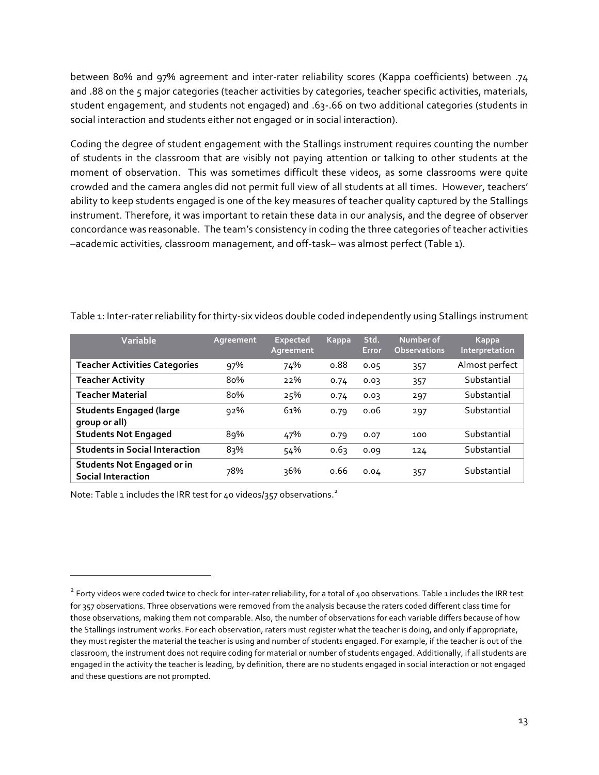between 80% and 97% agreement and inter-rater reliability scores (Kappa coefficients) between .74 and .88 on the 5 major categories (teacher activities by categories, teacher specific activities, materials, student engagement, and students not engaged) and .63-.66 on two additional categories (students in social interaction and students either not engaged or in social interaction).

Coding the degree of student engagement with the Stallings instrument requires counting the number of students in the classroom that are visibly not paying attention or talking to other students at the moment of observation. This was sometimes difficult these videos, as some classrooms were quite crowded and the camera angles did not permit full view of all students at all times. However, teachers' ability to keep students engaged is one of the key measures of teacher quality captured by the Stallings instrument. Therefore, it was important to retain these data in our analysis, and the degree of observer concordance was reasonable. The team's consistency in coding the three categories of teacher activities –academic activities, classroom management, and off-task– was almost perfect (Table 1).

| Variable                                                       | Agreement | <b>Expected</b><br>Agreement | <b>Kappa</b> | Std.<br>Error | Number of<br><b>Observations</b> | <b>Kappa</b><br>Interpretation |
|----------------------------------------------------------------|-----------|------------------------------|--------------|---------------|----------------------------------|--------------------------------|
| <b>Teacher Activities Categories</b>                           | 97%       | 74%                          | o.88         | 0.05          | 357                              | Almost perfect                 |
| <b>Teacher Activity</b>                                        | 80%       | 22%                          | 0.74         | 0.03          | 357                              | Substantial                    |
| <b>Teacher Material</b>                                        | 80%       | 25%                          | 0.74         | 0.03          | 297                              | Substantial                    |
| <b>Students Engaged (large</b><br>group or all)                | 92%       | 61%                          | 0.79         | 0.06          | 297                              | Substantial                    |
| <b>Students Not Engaged</b>                                    | 89%       | 47%                          | 0.79         | 0.07          | 100                              | Substantial                    |
| <b>Students in Social Interaction</b>                          | 83%       | 54%                          | 0.63         | 0.09          | 124                              | Substantial                    |
| <b>Students Not Engaged or in</b><br><b>Social Interaction</b> | 78%       | 36%                          | 0.66         | 0.04          | 357                              | Substantial                    |

Table 1: Inter-rater reliability for thirty-six videos double coded independently using Stallings instrument

Note: Table 1 includes the IRR test for 40 videos/357 observations.<sup>2</sup>

<sup>&</sup>lt;sup>2</sup> Forty videos were coded twice to check for inter-rater reliability, for a total of 400 observations. Table 1 includes the IRR test for 357 observations. Three observations were removed from the analysis because the raters coded different class time for those observations, making them not comparable. Also, the number of observations for each variable differs because of how the Stallings instrument works. For each observation, raters must register what the teacher is doing, and only if appropriate, they must register the material the teacher is using and number of students engaged. For example, if the teacher is out of the classroom, the instrument does not require coding for material or number of students engaged. Additionally, if all students are engaged in the activity the teacher is leading, by definition, there are no students engaged in social interaction or not engaged and these questions are not prompted.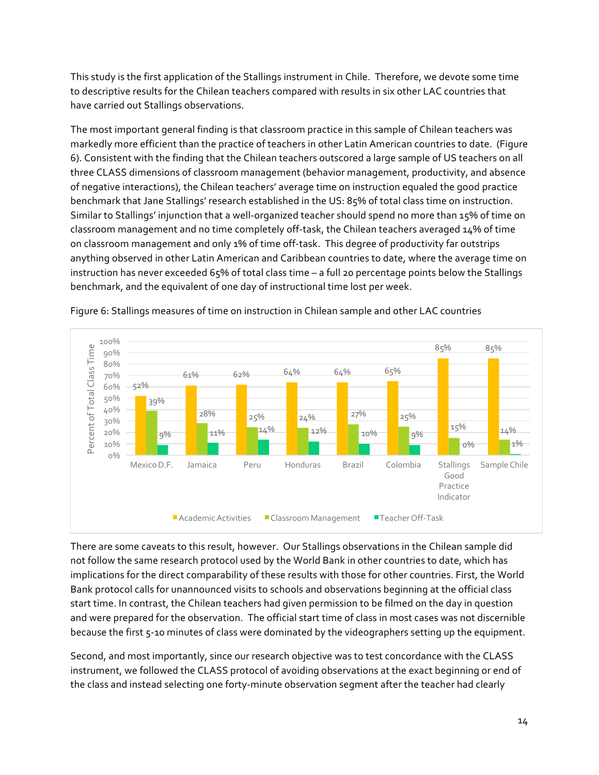This study is the first application of the Stallings instrument in Chile. Therefore, we devote some time to descriptive results for the Chilean teachers compared with results in six other LAC countries that have carried out Stallings observations.

The most important general finding is that classroom practice in this sample of Chilean teachers was markedly more efficient than the practice of teachers in other Latin American countries to date. (Figure 6). Consistent with the finding that the Chilean teachers outscored a large sample of US teachers on all three CLASS dimensions of classroom management (behavior management, productivity, and absence of negative interactions), the Chilean teachers' average time on instruction equaled the good practice benchmark that Jane Stallings' research established in the US: 85% of total class time on instruction. Similar to Stallings' injunction that a well-organized teacher should spend no more than 15% of time on classroom management and no time completely off-task, the Chilean teachers averaged 14% of time on classroom management and only 1% of time off-task. This degree of productivity far outstrips anything observed in other Latin American and Caribbean countries to date, where the average time on instruction has never exceeded 65% of total class time – a full 20 percentage points below the Stallings benchmark, and the equivalent of one day of instructional time lost per week.



Figure 6: Stallings measures of time on instruction in Chilean sample and other LAC countries

There are some caveats to this result, however. Our Stallings observations in the Chilean sample did not follow the same research protocol used by the World Bank in other countries to date, which has implications for the direct comparability of these results with those for other countries. First, the World Bank protocol calls for unannounced visits to schools and observations beginning at the official class start time. In contrast, the Chilean teachers had given permission to be filmed on the day in question and were prepared for the observation. The official start time of class in most cases was not discernible because the first 5-10 minutes of class were dominated by the videographers setting up the equipment.

Second, and most importantly, since our research objective was to test concordance with the CLASS instrument, we followed the CLASS protocol of avoiding observations at the exact beginning or end of the class and instead selecting one forty-minute observation segment after the teacher had clearly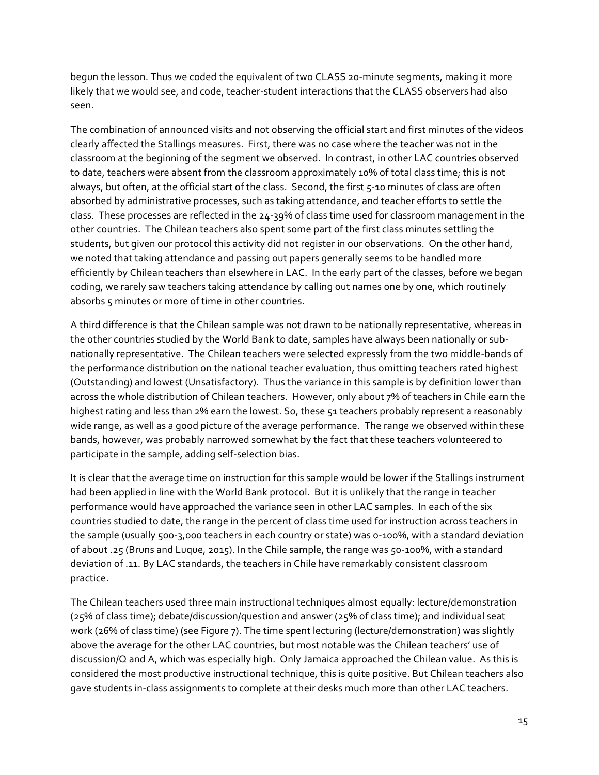begun the lesson. Thus we coded the equivalent of two CLASS 20-minute segments, making it more likely that we would see, and code, teacher-student interactions that the CLASS observers had also seen.

The combination of announced visits and not observing the official start and first minutes of the videos clearly affected the Stallings measures. First, there was no case where the teacher was not in the classroom at the beginning of the segment we observed. In contrast, in other LAC countries observed to date, teachers were absent from the classroom approximately 10% of total class time; this is not always, but often, at the official start of the class. Second, the first 5-10 minutes of class are often absorbed by administrative processes, such as taking attendance, and teacher efforts to settle the class. These processes are reflected in the 24-39% of class time used for classroom management in the other countries. The Chilean teachers also spent some part of the first class minutes settling the students, but given our protocol this activity did not register in our observations. On the other hand, we noted that taking attendance and passing out papers generally seems to be handled more efficiently by Chilean teachers than elsewhere in LAC. In the early part of the classes, before we began coding, we rarely saw teachers taking attendance by calling out names one by one, which routinely absorbs 5 minutes or more of time in other countries.

A third difference is that the Chilean sample was not drawn to be nationally representative, whereas in the other countries studied by the World Bank to date, samples have always been nationally or subnationally representative. The Chilean teachers were selected expressly from the two middle-bands of the performance distribution on the national teacher evaluation, thus omitting teachers rated highest (Outstanding) and lowest (Unsatisfactory). Thus the variance in this sample is by definition lower than across the whole distribution of Chilean teachers. However, only about 7% of teachers in Chile earn the highest rating and less than 2% earn the lowest. So, these 51 teachers probably represent a reasonably wide range, as well as a good picture of the average performance. The range we observed within these bands, however, was probably narrowed somewhat by the fact that these teachers volunteered to participate in the sample, adding self-selection bias.

It is clear that the average time on instruction for this sample would be lower if the Stallings instrument had been applied in line with the World Bank protocol. But it is unlikely that the range in teacher performance would have approached the variance seen in other LAC samples. In each of the six countries studied to date, the range in the percent of class time used for instruction across teachers in the sample (usually 500-3,000 teachers in each country or state) was 0-100%, with a standard deviation of about .25 (Bruns and Luque, 2015). In the Chile sample, the range was 50-100%, with a standard deviation of .11. By LAC standards, the teachers in Chile have remarkably consistent classroom practice.

The Chilean teachers used three main instructional techniques almost equally: lecture/demonstration (25% of class time); debate/discussion/question and answer (25% of class time); and individual seat work (26% of class time) (see Figure 7). The time spent lecturing (lecture/demonstration) was slightly above the average for the other LAC countries, but most notable was the Chilean teachers' use of discussion/Q and A, which was especially high. Only Jamaica approached the Chilean value. As this is considered the most productive instructional technique, this is quite positive. But Chilean teachers also gave students in-class assignments to complete at their desks much more than other LAC teachers.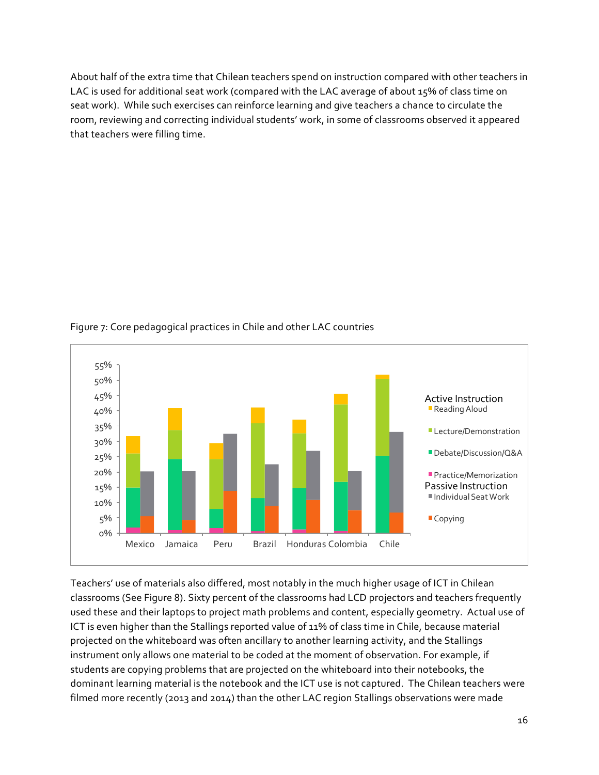About half of the extra time that Chilean teachers spend on instruction compared with other teachers in LAC is used for additional seat work (compared with the LAC average of about 15% of class time on seat work). While such exercises can reinforce learning and give teachers a chance to circulate the room, reviewing and correcting individual students' work, in some of classrooms observed it appeared that teachers were filling time.



#### Figure 7: Core pedagogical practices in Chile and other LAC countries

Teachers' use of materials also differed, most notably in the much higher usage of ICT in Chilean classrooms (See Figure 8). Sixty percent of the classrooms had LCD projectors and teachers frequently used these and their laptops to project math problems and content, especially geometry. Actual use of ICT is even higher than the Stallings reported value of 11% of class time in Chile, because material projected on the whiteboard was often ancillary to another learning activity, and the Stallings instrument only allows one material to be coded at the moment of observation. For example, if students are copying problems that are projected on the whiteboard into their notebooks, the dominant learning material is the notebook and the ICT use is not captured. The Chilean teachers were filmed more recently (2013 and 2014) than the other LAC region Stallings observations were made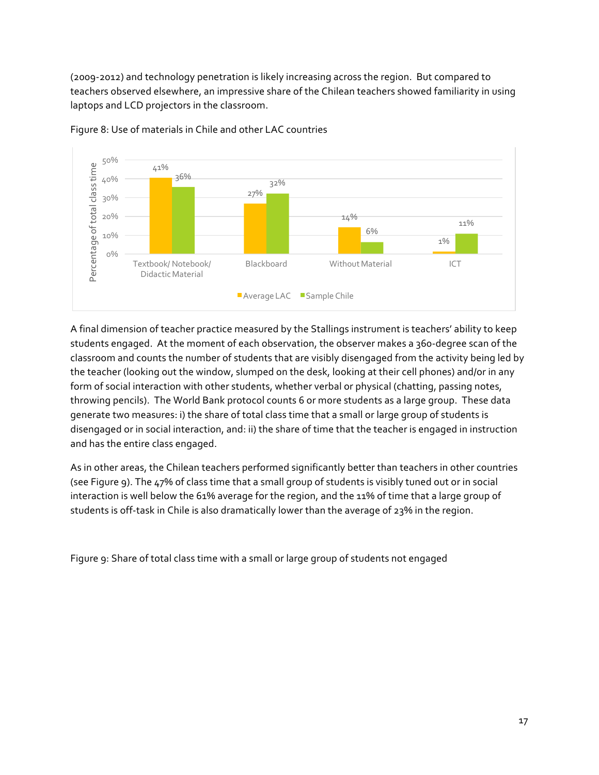(2009-2012) and technology penetration is likely increasing across the region. But compared to teachers observed elsewhere, an impressive share of the Chilean teachers showed familiarity in using laptops and LCD projectors in the classroom.



Figure 8: Use of materials in Chile and other LAC countries

A final dimension of teacher practice measured by the Stallings instrument is teachers' ability to keep students engaged. At the moment of each observation, the observer makes a 360-degree scan of the classroom and counts the number of students that are visibly disengaged from the activity being led by the teacher (looking out the window, slumped on the desk, looking at their cell phones) and/or in any form of social interaction with other students, whether verbal or physical (chatting, passing notes, throwing pencils). The World Bank protocol counts 6 or more students as a large group. These data generate two measures: i) the share of total class time that a small or large group of students is disengaged or in social interaction, and: ii) the share of time that the teacher is engaged in instruction and has the entire class engaged.

As in other areas, the Chilean teachers performed significantly better than teachers in other countries (see Figure 9). The 47% of class time that a small group of students is visibly tuned out or in social interaction is well below the 61% average for the region, and the 11% of time that a large group of students is off-task in Chile is also dramatically lower than the average of 23% in the region.

Figure 9: Share of total class time with a small or large group of students not engaged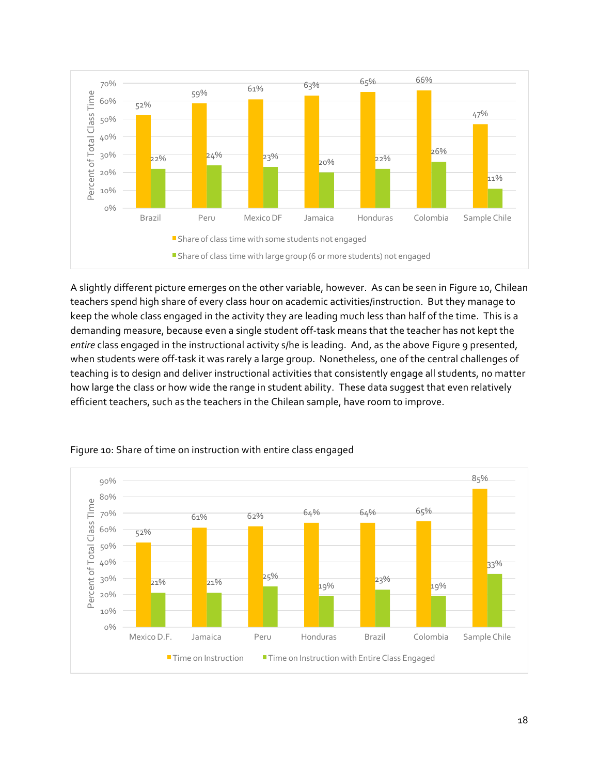

A slightly different picture emerges on the other variable, however. As can be seen in Figure 10, Chilean teachers spend high share of every class hour on academic activities/instruction. But they manage to keep the whole class engaged in the activity they are leading much less than half of the time. This is a demanding measure, because even a single student off-task means that the teacher has not kept the entire class engaged in the instructional activity s/he is leading. And, as the above Figure 9 presented, when students were off-task it was rarely a large group. Nonetheless, one of the central challenges of teaching is to design and deliver instructional activities that consistently engage all students, no matter how large the class or how wide the range in student ability. These data suggest that even relatively efficient teachers, such as the teachers in the Chilean sample, have room to improve.



#### Figure 10: Share of time on instruction with entire class engaged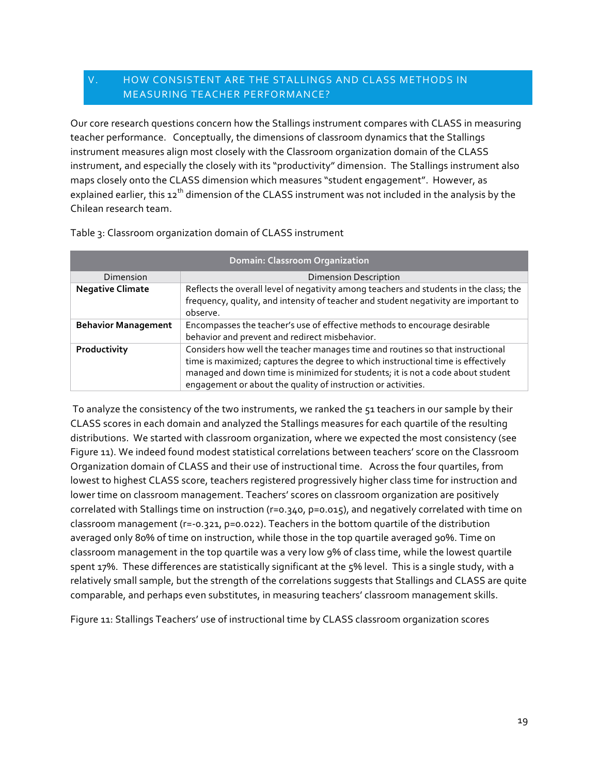### V. HOW CONSISTENT ARE THE STALLINGS AND CLASS METHODS IN MEASURING TEACHER PERFORMANCE?

Our core research questions concern how the Stallings instrument compares with CLASS in measuring teacher performance. Conceptually, the dimensions of classroom dynamics that the Stallings instrument measures align most closely with the Classroom organization domain of the CLASS instrument, and especially the closely with its "productivity" dimension. The Stallings instrument also maps closely onto the CLASS dimension which measures "student engagement". However, as explained earlier, this 12<sup>th</sup> dimension of the CLASS instrument was not included in the analysis by the Chilean research team.

| <b>Domain: Classroom Organization</b> |                                                                                        |  |  |  |
|---------------------------------------|----------------------------------------------------------------------------------------|--|--|--|
| <b>Dimension</b>                      | <b>Dimension Description</b>                                                           |  |  |  |
| <b>Negative Climate</b>               | Reflects the overall level of negativity among teachers and students in the class; the |  |  |  |
|                                       | frequency, quality, and intensity of teacher and student negativity are important to   |  |  |  |
|                                       | observe.                                                                               |  |  |  |
| <b>Behavior Management</b>            | Encompasses the teacher's use of effective methods to encourage desirable              |  |  |  |
|                                       | behavior and prevent and redirect misbehavior.                                         |  |  |  |
| Productivity                          | Considers how well the teacher manages time and routines so that instructional         |  |  |  |
|                                       | time is maximized; captures the degree to which instructional time is effectively      |  |  |  |
|                                       | managed and down time is minimized for students; it is not a code about student        |  |  |  |
|                                       | engagement or about the quality of instruction or activities.                          |  |  |  |

Table 3: Classroom organization domain of CLASS instrument

To analyze the consistency of the two instruments, we ranked the 51 teachers in our sample by their CLASS scores in each domain and analyzed the Stallings measures for each quartile of the resulting distributions. We started with classroom organization, where we expected the most consistency (see Figure 11). We indeed found modest statistical correlations between teachers' score on the Classroom Organization domain of CLASS and their use of instructional time. Across the four quartiles, from lowest to highest CLASS score, teachers registered progressively higher class time for instruction and lower time on classroom management. Teachers' scores on classroom organization are positively correlated with Stallings time on instruction (r=0.340, p=0.015), and negatively correlated with time on classroom management (r=-0.321, p=0.022). Teachers in the bottom quartile of the distribution averaged only 80% of time on instruction, while those in the top quartile averaged 90%. Time on classroom management in the top quartile was a very low 9% of class time, while the lowest quartile spent 17%. These differences are statistically significant at the 5% level. This is a single study, with a relatively small sample, but the strength of the correlations suggests that Stallings and CLASS are quite comparable, and perhaps even substitutes, in measuring teachers' classroom management skills.

Figure 11: Stallings Teachers' use of instructional time by CLASS classroom organization scores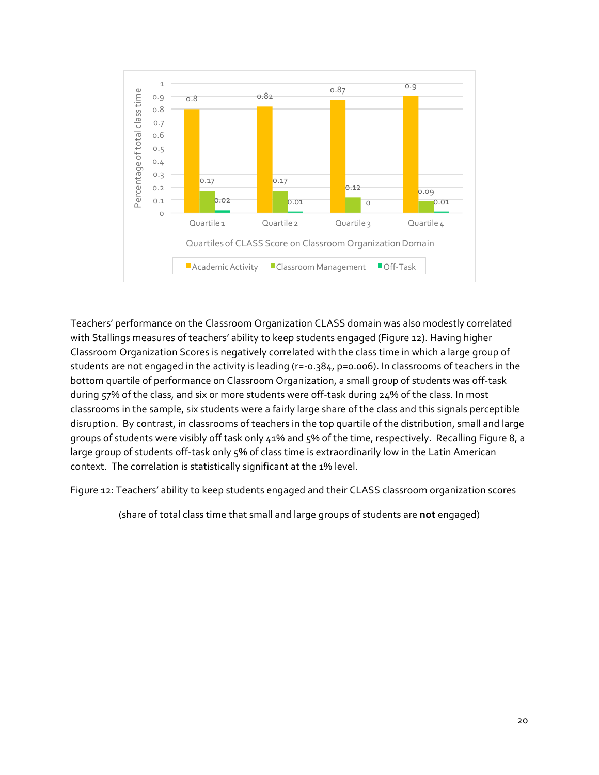

Teachers' performance on the Classroom Organization CLASS domain was also modestly correlated with Stallings measures of teachers' ability to keep students engaged (Figure 12). Having higher Classroom Organization Scores is negatively correlated with the class time in which a large group of students are not engaged in the activity is leading (r=-0.384, p=0.006). In classrooms of teachers in the bottom quartile of performance on Classroom Organization, a small group of students was off-task during 57% of the class, and six or more students were off-task during 24% of the class. In most classrooms in the sample, six students were a fairly large share of the class and this signals perceptible disruption. By contrast, in classrooms of teachers in the top quartile of the distribution, small and large groups of students were visibly off task only 41% and 5% of the time, respectively. Recalling Figure 8, a large group of students off-task only 5% of class time is extraordinarily low in the Latin American context. The correlation is statistically significant at the 1% level.

Figure 12: Teachers' ability to keep students engaged and their CLASS classroom organization scores

(share of total class time that small and large groups of students are **not** engaged)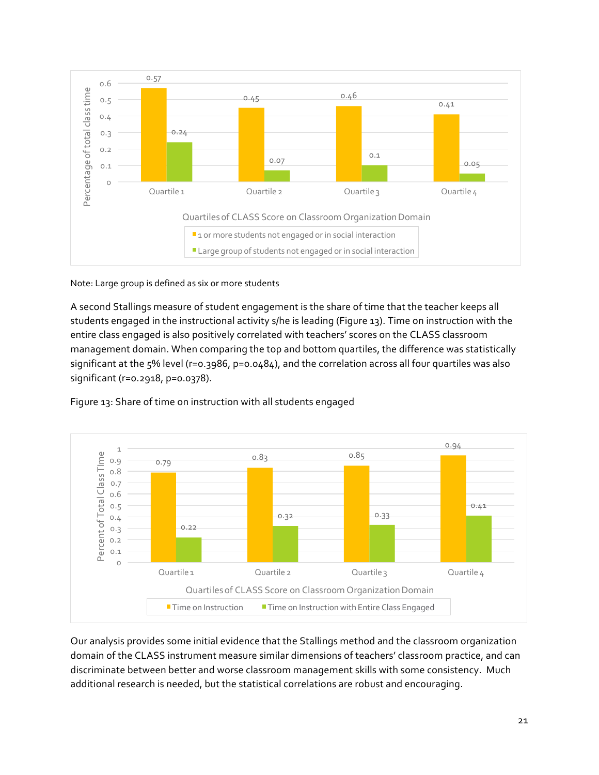

Note: Large group is defined as six or more students

A second Stallings measure of student engagement is the share of time that the teacher keeps all students engaged in the instructional activity s/he is leading (Figure 13). Time on instruction with the entire class engaged is also positively correlated with teachers' scores on the CLASS classroom management domain. When comparing the top and bottom quartiles, the difference was statistically significant at the 5% level (r=0.3986, p=0.0484), and the correlation across all four quartiles was also significant (r=0.2918, p=0.0378).

Figure 13: Share of time on instruction with all students engaged



Our analysis provides some initial evidence that the Stallings method and the classroom organization domain of the CLASS instrument measure similar dimensions of teachers' classroom practice, and can discriminate between better and worse classroom management skills with some consistency. Much additional research is needed, but the statistical correlations are robust and encouraging.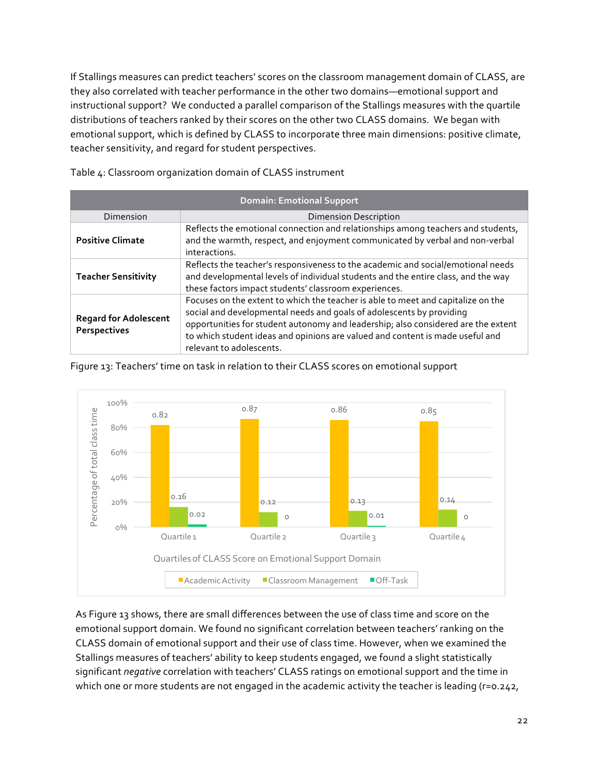If Stallings measures can predict teachers' scores on the classroom management domain of CLASS, are they also correlated with teacher performance in the other two domains—emotional support and instructional support? We conducted a parallel comparison of the Stallings measures with the quartile distributions of teachers ranked by their scores on the other two CLASS domains. We began with emotional support, which is defined by CLASS to incorporate three main dimensions: positive climate, teacher sensitivity, and regard for student perspectives.

| <b>Domain: Emotional Support</b>             |                                                                                                                                                                                                                                                                                                                                                            |  |  |  |
|----------------------------------------------|------------------------------------------------------------------------------------------------------------------------------------------------------------------------------------------------------------------------------------------------------------------------------------------------------------------------------------------------------------|--|--|--|
| <b>Dimension Description</b><br>Dimension    |                                                                                                                                                                                                                                                                                                                                                            |  |  |  |
| <b>Positive Climate</b>                      | Reflects the emotional connection and relationships among teachers and students,<br>and the warmth, respect, and enjoyment communicated by verbal and non-verbal<br>interactions.                                                                                                                                                                          |  |  |  |
| <b>Teacher Sensitivity</b>                   | Reflects the teacher's responsiveness to the academic and social/emotional needs<br>and developmental levels of individual students and the entire class, and the way<br>these factors impact students' classroom experiences.                                                                                                                             |  |  |  |
| <b>Regard for Adolescent</b><br>Perspectives | Focuses on the extent to which the teacher is able to meet and capitalize on the<br>social and developmental needs and goals of adolescents by providing<br>opportunities for student autonomy and leadership; also considered are the extent<br>to which student ideas and opinions are valued and content is made useful and<br>relevant to adolescents. |  |  |  |

Table 4: Classroom organization domain of CLASS instrument



Figure 13: Teachers' time on task in relation to their CLASS scores on emotional support

As Figure 13 shows, there are small differences between the use of class time and score on the emotional support domain. We found no significant correlation between teachers' ranking on the CLASS domain of emotional support and their use of class time. However, when we examined the Stallings measures of teachers' ability to keep students engaged, we found a slight statistically significant *negative* correlation with teachers' CLASS ratings on emotional support and the time in which one or more students are not engaged in the academic activity the teacher is leading (r=0.242,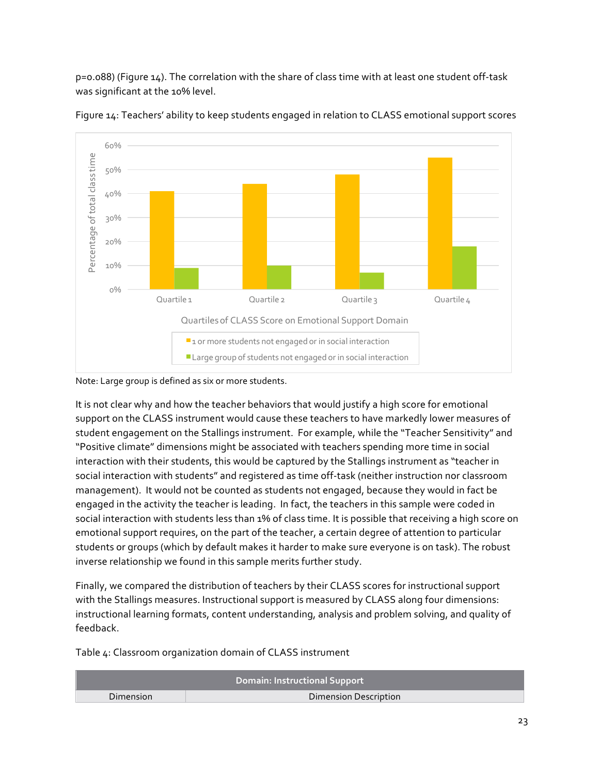p=0.088) (Figure 14). The correlation with the share of class time with at least one student off-task was significant at the 10% level.



Figure 14: Teachers' ability to keep students engaged in relation to CLASS emotional support scores

Note: Large group is defined as six or more students.

It is not clear why and how the teacher behaviors that would justify a high score for emotional support on the CLASS instrument would cause these teachers to have markedly lower measures of student engagement on the Stallings instrument. For example, while the "Teacher Sensitivity" and "Positive climate" dimensions might be associated with teachers spending more time in social interaction with their students, this would be captured by the Stallings instrument as "teacher in social interaction with students" and registered as time off-task (neither instruction nor classroom management). It would not be counted as students not engaged, because they would in fact be engaged in the activity the teacher is leading. In fact, the teachers in this sample were coded in social interaction with students less than 1% of class time. It is possible that receiving a high score on emotional support requires, on the part of the teacher, a certain degree of attention to particular students or groups (which by default makes it harder to make sure everyone is on task). The robust inverse relationship we found in this sample merits further study.

Finally, we compared the distribution of teachers by their CLASS scores for instructional support with the Stallings measures. Instructional support is measured by CLASS along four dimensions: instructional learning formats, content understanding, analysis and problem solving, and quality of feedback.

Table 4: Classroom organization domain of CLASS instrument

|           | <b>Domain: Instructional Support</b> |
|-----------|--------------------------------------|
| Dimension | Dimension Description                |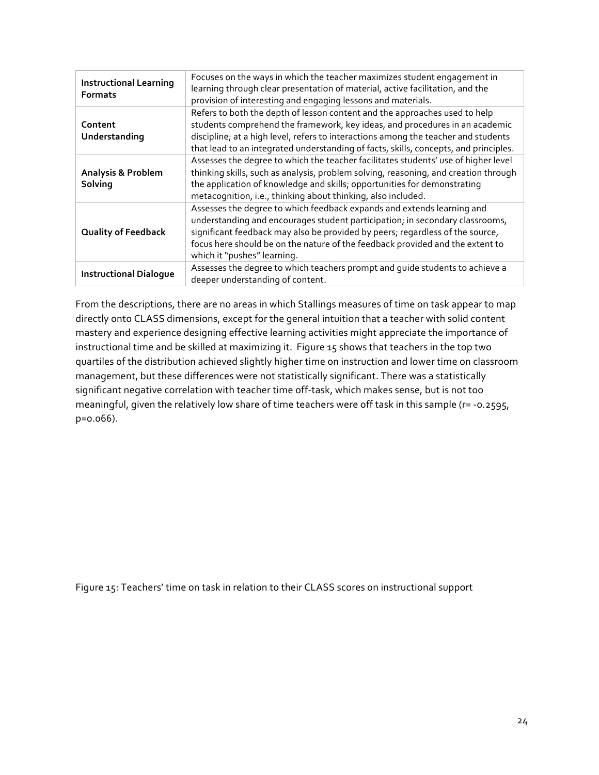| <b>Instructional Learning</b><br><b>Formats</b> | Focuses on the ways in which the teacher maximizes student engagement in<br>learning through clear presentation of material, active facilitation, and the<br>provision of interesting and engaging lessons and materials.                                                                                                                               |
|-------------------------------------------------|---------------------------------------------------------------------------------------------------------------------------------------------------------------------------------------------------------------------------------------------------------------------------------------------------------------------------------------------------------|
| Content<br>Understanding                        | Refers to both the depth of lesson content and the approaches used to help<br>students comprehend the framework, key ideas, and procedures in an academic<br>discipline; at a high level, refers to interactions among the teacher and students<br>that lead to an integrated understanding of facts, skills, concepts, and principles.                 |
| <b>Analysis &amp; Problem</b><br>Solving        | Assesses the degree to which the teacher facilitates students' use of higher level<br>thinking skills, such as analysis, problem solving, reasoning, and creation through<br>the application of knowledge and skills; opportunities for demonstrating<br>metacognition, i.e., thinking about thinking, also included.                                   |
| <b>Quality of Feedback</b>                      | Assesses the degree to which feedback expands and extends learning and<br>understanding and encourages student participation; in secondary classrooms,<br>significant feedback may also be provided by peers; regardless of the source,<br>focus here should be on the nature of the feedback provided and the extent to<br>which it "pushes" learning. |
| <b>Instructional Dialogue</b>                   | Assesses the degree to which teachers prompt and quide students to achieve a<br>deeper understanding of content.                                                                                                                                                                                                                                        |

From the descriptions, there are no areas in which Stallings measures of time on task appear to map directly onto CLASS dimensions, except for the general intuition that a teacher with solid content mastery and experience designing effective learning activities might appreciate the importance of instructional time and be skilled at maximizing it. Figure 15 shows that teachers in the top two quartiles of the distribution achieved slightly higher time on instruction and lower time on classroom management, but these differences were not statistically significant. There was a statistically significant negative correlation with teacher time off-task, which makes sense, but is not too meaningful, given the relatively low share of time teachers were off task in this sample (r= -0.2595, p=0.066).

Figure 15: Teachers' time on task in relation to their CLASS scores on instructional support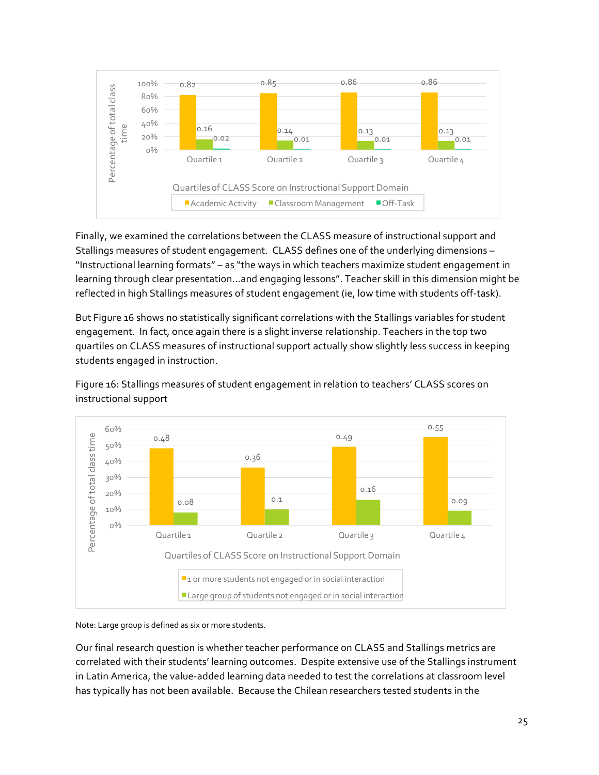

Finally, we examined the correlations between the CLASS measure of instructional support and Stallings measures of student engagement. CLASS defines one of the underlying dimensions – "Instructional learning formats" – as "the ways in which teachers maximize student engagement in learning through clear presentation…and engaging lessons". Teacher skill in this dimension might be reflected in high Stallings measures of student engagement (ie, low time with students off-task).

But Figure 16 shows no statistically significant correlations with the Stallings variables for student engagement. In fact, once again there is a slight inverse relationship. Teachers in the top two quartiles on CLASS measures of instructional support actually show slightly less success in keeping students engaged in instruction.

Figure 16: Stallings measures of student engagement in relation to teachers' CLASS scores on instructional support



Note: Large group is defined as six or more students.

Our final research question is whether teacher performance on CLASS and Stallings metrics are correlated with their students' learning outcomes. Despite extensive use of the Stallings instrument in Latin America, the value-added learning data needed to test the correlations at classroom level has typically has not been available. Because the Chilean researchers tested students in the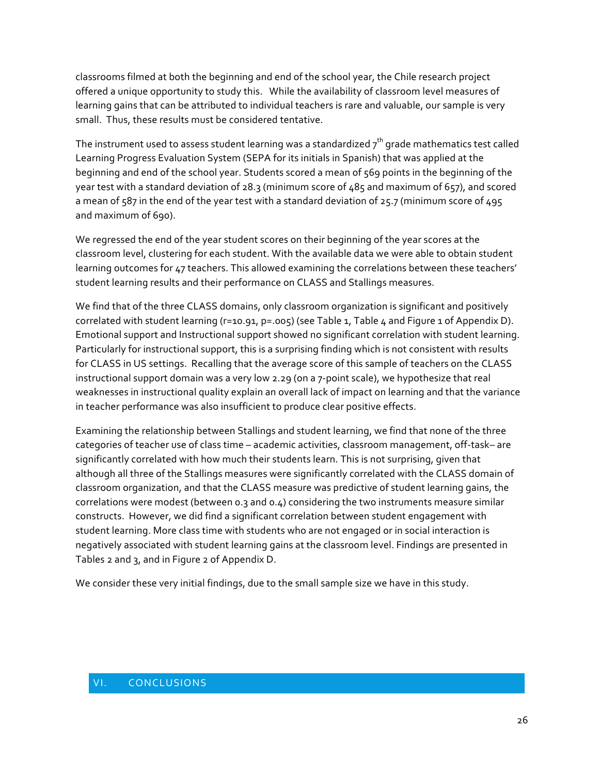classrooms filmed at both the beginning and end of the school year, the Chile research project offered a unique opportunity to study this. While the availability of classroom level measures of learning gains that can be attributed to individual teachers is rare and valuable, our sample is very small. Thus, these results must be considered tentative.

The instrument used to assess student learning was a standardized  $7<sup>th</sup>$  grade mathematics test called Learning Progress Evaluation System (SEPA for its initials in Spanish) that was applied at the beginning and end of the school year. Students scored a mean of 569 points in the beginning of the year test with a standard deviation of 28.3 (minimum score of 485 and maximum of 657), and scored a mean of 587 in the end of the year test with a standard deviation of 25.7 (minimum score of 495 and maximum of 690).

We regressed the end of the year student scores on their beginning of the year scores at the classroom level, clustering for each student. With the available data we were able to obtain student learning outcomes for 47 teachers. This allowed examining the correlations between these teachers' student learning results and their performance on CLASS and Stallings measures.

We find that of the three CLASS domains, only classroom organization is significant and positively correlated with student learning (r=10.91, p=.005) (see Table 1, Table 4 and Figure 1 of Appendix D). Emotional support and Instructional support showed no significant correlation with student learning. Particularly for instructional support, this is a surprising finding which is not consistent with results for CLASS in US settings. Recalling that the average score of this sample of teachers on the CLASS instructional support domain was a very low 2.29 (on a 7-point scale), we hypothesize that real weaknesses in instructional quality explain an overall lack of impact on learning and that the variance in teacher performance was also insufficient to produce clear positive effects.

Examining the relationship between Stallings and student learning, we find that none of the three categories of teacher use of class time – academic activities, classroom management, off-task– are significantly correlated with how much their students learn. This is not surprising, given that although all three of the Stallings measures were significantly correlated with the CLASS domain of classroom organization, and that the CLASS measure was predictive of student learning gains, the correlations were modest (between 0.3 and 0.4) considering the two instruments measure similar constructs. However, we did find a significant correlation between student engagement with student learning. More class time with students who are not engaged or in social interaction is negatively associated with student learning gains at the classroom level. Findings are presented in Tables 2 and 3, and in Figure 2 of Appendix D.

We consider these very initial findings, due to the small sample size we have in this study.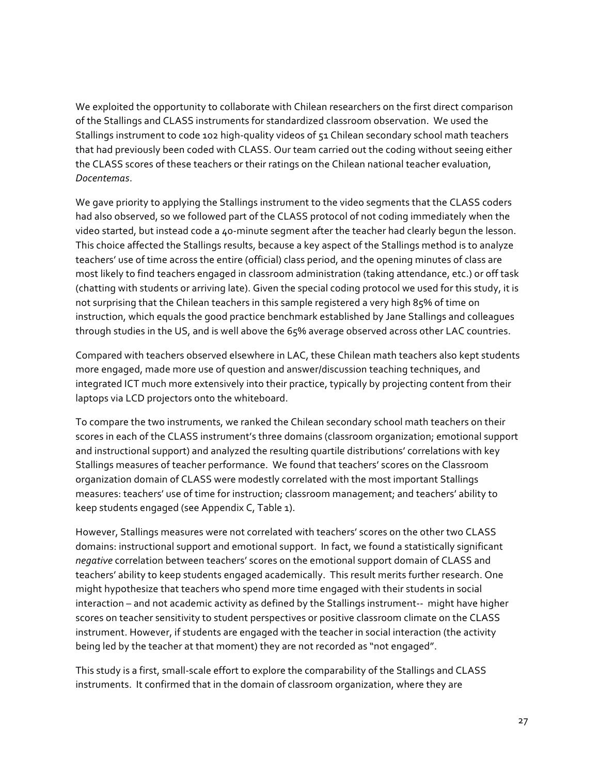We exploited the opportunity to collaborate with Chilean researchers on the first direct comparison of the Stallings and CLASS instruments for standardized classroom observation. We used the Stallings instrument to code 102 high-quality videos of 51 Chilean secondary school math teachers that had previously been coded with CLASS. Our team carried out the coding without seeing either the CLASS scores of these teachers or their ratings on the Chilean national teacher evaluation, *Docentemas*.

We gave priority to applying the Stallings instrument to the video segments that the CLASS coders had also observed, so we followed part of the CLASS protocol of not coding immediately when the video started, but instead code a 40-minute segment after the teacher had clearly begun the lesson. This choice affected the Stallings results, because a key aspect of the Stallings method is to analyze teachers' use of time across the entire (official) class period, and the opening minutes of class are most likely to find teachers engaged in classroom administration (taking attendance, etc.) or off task (chatting with students or arriving late). Given the special coding protocol we used for this study, it is not surprising that the Chilean teachers in this sample registered a very high 85% of time on instruction, which equals the good practice benchmark established by Jane Stallings and colleagues through studies in the US, and is well above the 65% average observed across other LAC countries.

Compared with teachers observed elsewhere in LAC, these Chilean math teachers also kept students more engaged, made more use of question and answer/discussion teaching techniques, and integrated ICT much more extensively into their practice, typically by projecting content from their laptops via LCD projectors onto the whiteboard.

To compare the two instruments, we ranked the Chilean secondary school math teachers on their scores in each of the CLASS instrument's three domains (classroom organization; emotional support and instructional support) and analyzed the resulting quartile distributions' correlations with key Stallings measures of teacher performance. We found that teachers' scores on the Classroom organization domain of CLASS were modestly correlated with the most important Stallings measures: teachers' use of time for instruction; classroom management; and teachers' ability to keep students engaged (see Appendix C, Table 1).

However, Stallings measures were not correlated with teachers' scores on the other two CLASS domains: instructional support and emotional support. In fact, we found a statistically significant *negative* correlation between teachers' scores on the emotional support domain of CLASS and teachers' ability to keep students engaged academically. This result merits further research. One might hypothesize that teachers who spend more time engaged with their students in social interaction – and not academic activity as defined by the Stallings instrument-- might have higher scores on teacher sensitivity to student perspectives or positive classroom climate on the CLASS instrument. However, if students are engaged with the teacher in social interaction (the activity being led by the teacher at that moment) they are not recorded as "not engaged".

This study is a first, small-scale effort to explore the comparability of the Stallings and CLASS instruments. It confirmed that in the domain of classroom organization, where they are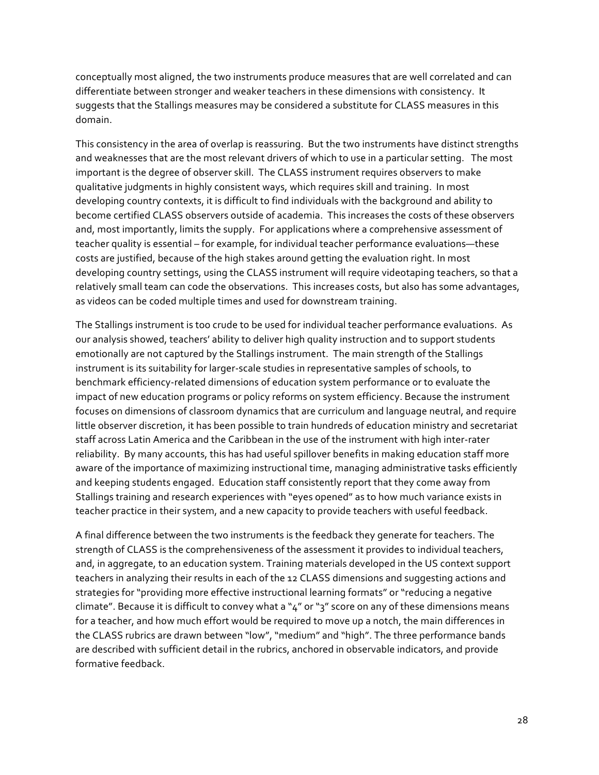conceptually most aligned, the two instruments produce measures that are well correlated and can differentiate between stronger and weaker teachers in these dimensions with consistency. It suggests that the Stallings measures may be considered a substitute for CLASS measures in this domain.

This consistency in the area of overlap is reassuring. But the two instruments have distinct strengths and weaknesses that are the most relevant drivers of which to use in a particular setting. The most important is the degree of observer skill. The CLASS instrument requires observers to make qualitative judgments in highly consistent ways, which requires skill and training. In most developing country contexts, it is difficult to find individuals with the background and ability to become certified CLASS observers outside of academia. This increases the costs of these observers and, most importantly, limits the supply. For applications where a comprehensive assessment of teacher quality is essential – for example, for individual teacher performance evaluations—these costs are justified, because of the high stakes around getting the evaluation right. In most developing country settings, using the CLASS instrument will require videotaping teachers, so that a relatively small team can code the observations. This increases costs, but also has some advantages, as videos can be coded multiple times and used for downstream training.

The Stallings instrument is too crude to be used for individual teacher performance evaluations. As our analysis showed, teachers' ability to deliver high quality instruction and to support students emotionally are not captured by the Stallings instrument. The main strength of the Stallings instrument is its suitability for larger-scale studies in representative samples of schools, to benchmark efficiency-related dimensions of education system performance or to evaluate the impact of new education programs or policy reforms on system efficiency. Because the instrument focuses on dimensions of classroom dynamics that are curriculum and language neutral, and require little observer discretion, it has been possible to train hundreds of education ministry and secretariat staff across Latin America and the Caribbean in the use of the instrument with high inter-rater reliability. By many accounts, this has had useful spillover benefits in making education staff more aware of the importance of maximizing instructional time, managing administrative tasks efficiently and keeping students engaged. Education staff consistently report that they come away from Stallings training and research experiences with "eyes opened" as to how much variance exists in teacher practice in their system, and a new capacity to provide teachers with useful feedback.

A final difference between the two instruments is the feedback they generate for teachers. The strength of CLASS is the comprehensiveness of the assessment it provides to individual teachers, and, in aggregate, to an education system. Training materials developed in the US context support teachers in analyzing their results in each of the 12 CLASS dimensions and suggesting actions and strategies for "providing more effective instructional learning formats" or "reducing a negative climate". Because it is difficult to convey what a "4" or "3" score on any of these dimensions means for a teacher, and how much effort would be required to move up a notch, the main differences in the CLASS rubrics are drawn between "low", "medium" and "high". The three performance bands are described with sufficient detail in the rubrics, anchored in observable indicators, and provide formative feedback.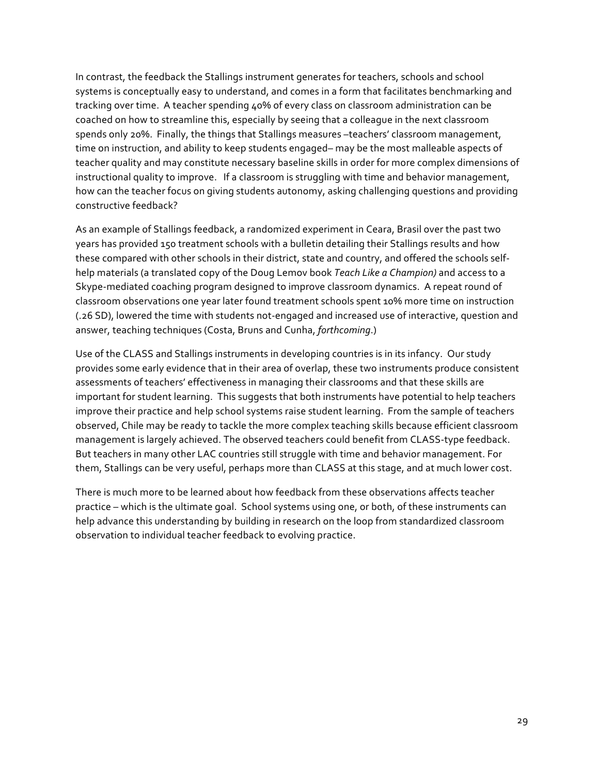In contrast, the feedback the Stallings instrument generates for teachers, schools and school systems is conceptually easy to understand, and comes in a form that facilitates benchmarking and tracking over time. A teacher spending 40% of every class on classroom administration can be coached on how to streamline this, especially by seeing that a colleague in the next classroom spends only 20%. Finally, the things that Stallings measures –teachers' classroom management, time on instruction, and ability to keep students engaged– may be the most malleable aspects of teacher quality and may constitute necessary baseline skills in order for more complex dimensions of instructional quality to improve. If a classroom is struggling with time and behavior management, how can the teacher focus on giving students autonomy, asking challenging questions and providing constructive feedback?

As an example of Stallings feedback, a randomized experiment in Ceara, Brasil over the past two years has provided 150 treatment schools with a bulletin detailing their Stallings results and how these compared with other schools in their district, state and country, and offered the schools selfhelp materials (a translated copy of the Doug Lemov book *Teach Like a Champion)* and access to a Skype-mediated coaching program designed to improve classroom dynamics. A repeat round of classroom observations one year later found treatment schools spent 10% more time on instruction (.26 SD), lowered the time with students not-engaged and increased use of interactive, question and answer, teaching techniques (Costa, Bruns and Cunha, *forthcoming*.)

Use of the CLASS and Stallings instruments in developing countries is in its infancy. Our study provides some early evidence that in their area of overlap, these two instruments produce consistent assessments of teachers' effectiveness in managing their classrooms and that these skills are important for student learning. This suggests that both instruments have potential to help teachers improve their practice and help school systems raise student learning. From the sample of teachers observed, Chile may be ready to tackle the more complex teaching skills because efficient classroom management is largely achieved. The observed teachers could benefit from CLASS-type feedback. But teachers in many other LAC countries still struggle with time and behavior management. For them, Stallings can be very useful, perhaps more than CLASS at this stage, and at much lower cost.

There is much more to be learned about how feedback from these observations affects teacher practice – which is the ultimate goal. School systems using one, or both, of these instruments can help advance this understanding by building in research on the loop from standardized classroom observation to individual teacher feedback to evolving practice.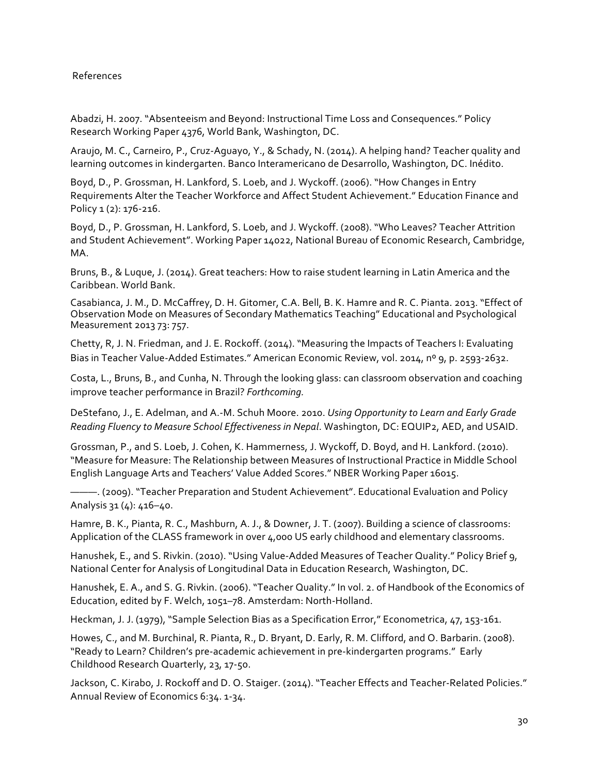#### References

Abadzi, H. 2007. "Absenteeism and Beyond: Instructional Time Loss and Consequences." Policy Research Working Paper 4376, World Bank, Washington, DC.

Araujo, M. C., Carneiro, P., Cruz-Aguayo, Y., & Schady, N. (2014). A helping hand? Teacher quality and learning outcomes in kindergarten. Banco Interamericano de Desarrollo, Washington, DC. Inédito.

Boyd, D., P. Grossman, H. Lankford, S. Loeb, and J. Wyckoff. (2006). "How Changes in Entry Requirements Alter the Teacher Workforce and Affect Student Achievement." Education Finance and Policy 1 (2): 176-216.

Boyd, D., P. Grossman, H. Lankford, S. Loeb, and J. Wyckoff. (2008). "Who Leaves? Teacher Attrition and Student Achievement". Working Paper 14022, National Bureau of Economic Research, Cambridge, MA.

Bruns, B., & Luque, J. (2014). Great teachers: How to raise student learning in Latin America and the Caribbean. World Bank.

Casabianca, J. M., D. McCaffrey, D. H. Gitomer, C.A. Bell, B. K. Hamre and R. C. Pianta. 2013. "Effect of Observation Mode on Measures of Secondary Mathematics Teaching" Educational and Psychological Measurement 2013 73: 757.

Chetty, R, J. N. Friedman, and J. E. Rockoff. (2014). "Measuring the Impacts of Teachers I: Evaluating Bias in Teacher Value-Added Estimates." American Economic Review, vol. 2014, nº 9, p. 2593-2632.

Costa, L., Bruns, B., and Cunha, N. Through the looking glass: can classroom observation and coaching improve teacher performance in Brazil? *Forthcoming.* 

DeStefano, J., E. Adelman, and A.-M. Schuh Moore. 2010. *Using Opportunity to Learn and Early Grade Reading Fluency to Measure School Effectiveness in Nepal*. Washington, DC: EQUIP2, AED, and USAID.

Grossman, P., and S. Loeb, J. Cohen, K. Hammerness, J. Wyckoff, D. Boyd, and H. Lankford. (2010). "Measure for Measure: The Relationship between Measures of Instructional Practice in Middle School English Language Arts and Teachers' Value Added Scores." NBER Working Paper 16015.

———. (2009). "Teacher Preparation and Student Achievement". Educational Evaluation and Policy Analysis 31 (4): 416–40.

Hamre, B. K., Pianta, R. C., Mashburn, A. J., & Downer, J. T. (2007). Building a science of classrooms: Application of the CLASS framework in over 4,000 US early childhood and elementary classrooms.

Hanushek, E., and S. Rivkin. (2010). "Using Value-Added Measures of Teacher Quality." Policy Brief 9, National Center for Analysis of Longitudinal Data in Education Research, Washington, DC.

Hanushek, E. A., and S. G. Rivkin. (2006). "Teacher Quality." In vol. 2. of Handbook of the Economics of Education, edited by F. Welch, 1051–78. Amsterdam: North-Holland.

Heckman, J. J. (1979), "Sample Selection Bias as a Specification Error," Econometrica, 47, 153-161.

Howes, C., and M. Burchinal, R. Pianta, R., D. Bryant, D. Early, R. M. Clifford, and O. Barbarin. (2008). "Ready to Learn? Children's pre-academic achievement in pre-kindergarten programs." Early Childhood Research Quarterly, 23, 17-50.

Jackson, C. Kirabo, J. Rockoff and D. O. Staiger. (2014). "Teacher Effects and Teacher-Related Policies." Annual Review of Economics 6:34. 1-34.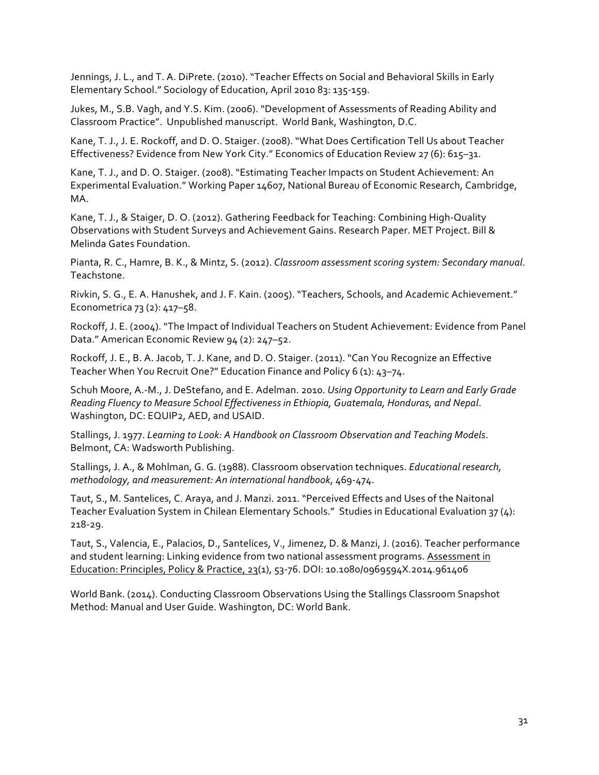Jennings, J. L., and T. A. DiPrete. (2010). "Teacher Effects on Social and Behavioral Skills in Early Elementary School." Sociology of Education, April 2010 83: 135-159.

Jukes, M., S.B. Vagh, and Y.S. Kim. (2006). "Development of Assessments of Reading Ability and Classroom Practice". Unpublished manuscript. World Bank, Washington, D.C.

Kane, T. J., J. E. Rockoff, and D. O. Staiger. (2008). "What Does Certification Tell Us about Teacher Effectiveness? Evidence from New York City." Economics of Education Review 27 (6): 615–31.

Kane, T. J., and D. O. Staiger. (2008). "Estimating Teacher Impacts on Student Achievement: An Experimental Evaluation." Working Paper 14607, National Bureau of Economic Research, Cambridge, MA.

Kane, T. J., & Staiger, D. O. (2012). Gathering Feedback for Teaching: Combining High-Quality Observations with Student Surveys and Achievement Gains. Research Paper. MET Project. Bill & Melinda Gates Foundation.

Pianta, R. C., Hamre, B. K., & Mintz, S. (2012). *Classroom assessment scoring system: Secondary manual*. Teachstone.

Rivkin, S. G., E. A. Hanushek, and J. F. Kain. (2005). "Teachers, Schools, and Academic Achievement." Econometrica 73 (2): 417–58.

Rockoff, J. E. (2004). "The Impact of Individual Teachers on Student Achievement: Evidence from Panel Data." American Economic Review 94 (2): 247–52.

Rockoff, J. E., B. A. Jacob, T. J. Kane, and D. O. Staiger. (2011). "Can You Recognize an Effective Teacher When You Recruit One?" Education Finance and Policy 6 (1): 43-74.

Schuh Moore, A.-M., J. DeStefano, and E. Adelman. 2010. *Using Opportunity to Learn and Early Grade Reading Fluency to Measure School Effectiveness in Ethiopia, Guatemala, Honduras, and Nepal*. Washington, DC: EQUIP2, AED, and USAID.

Stallings, J. 1977. *Learning to Look: A Handbook on Classroom Observation and Teaching Models*. Belmont, CA: Wadsworth Publishing.

Stallings, J. A., & Mohlman, G. G. (1988). Classroom observation techniques. *Educational research, methodology, and measurement: An international handbook*, 469-474.

Taut, S., M. Santelices, C. Araya, and J. Manzi. 2011. "Perceived Effects and Uses of the Naitonal Teacher Evaluation System in Chilean Elementary Schools." Studies in Educational Evaluation 37 (4): 218-29.

Taut, S., Valencia, E., Palacios, D., Santelices, V., Jimenez, D. & Manzi, J. (2016). Teacher performance and student learning: Linking evidence from two national assessment programs. Assessment in Education: Principles, Policy & Practice, 23(1), 53-76. DOI: 10.1080/0969594X.2014.961406

World Bank. (2014). Conducting Classroom Observations Using the Stallings Classroom Snapshot Method: Manual and User Guide. Washington, DC: World Bank.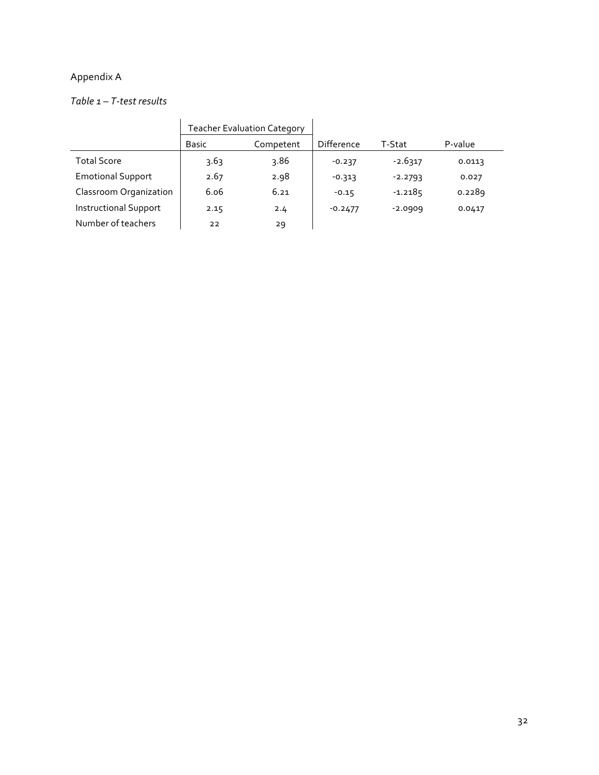# Appendix A

# *Table 1 – T-test results*

|                              | <b>Teacher Evaluation Category</b> |           |            |           |         |
|------------------------------|------------------------------------|-----------|------------|-----------|---------|
|                              | <b>Basic</b>                       | Competent | Difference | T-Stat    | P-value |
| <b>Total Score</b>           | 3.63                               | 3.86      | $-0.237$   | $-2.6317$ | 0.0113  |
| <b>Emotional Support</b>     | 2.67                               | 2.98      | $-0.313$   | $-2.2793$ | 0.027   |
| Classroom Organization       | 6.06                               | 6.21      | $-0.15$    | $-1.2185$ | 0.2289  |
| <b>Instructional Support</b> | 2.15                               | 2.4       | $-0.2477$  | $-2.0909$ | 0.0417  |
| Number of teachers           | 22                                 | 29        |            |           |         |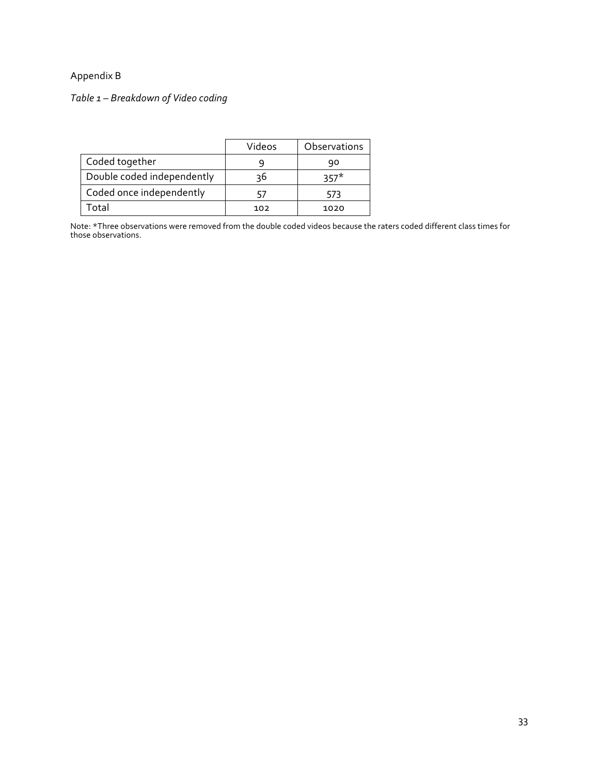# Appendix B

*Table 1 – Breakdown of Video coding*

|                            | Videos | Observations |
|----------------------------|--------|--------------|
| Coded together             |        | 90           |
| Double coded independently | 36     | $357*$       |
| Coded once independently   |        | 573          |
| otal                       | 102    | 1020         |

Note: \*Three observations were removed from the double coded videos because the raters coded different class times for those observations.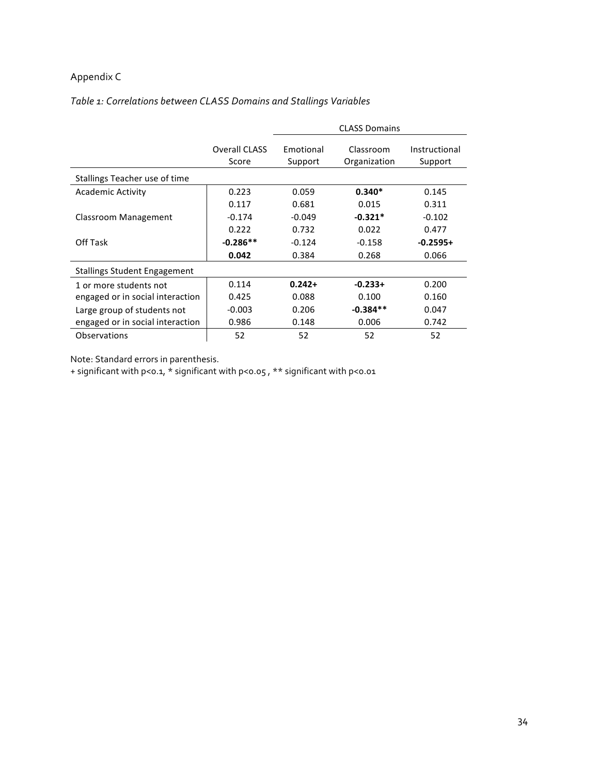# Appendix C

# *Table 1: Correlations between CLASS Domains and Stallings Variables*

|                                     |                        | <b>CLASS Domains</b> |                           |                          |
|-------------------------------------|------------------------|----------------------|---------------------------|--------------------------|
|                                     | Overall CLASS<br>Score | Emotional<br>Support | Classroom<br>Organization | Instructional<br>Support |
| Stallings Teacher use of time       |                        |                      |                           |                          |
| <b>Academic Activity</b>            | 0.223                  | 0.059                | $0.340*$                  | 0.145                    |
|                                     | 0.117                  | 0.681                | 0.015                     | 0.311                    |
| <b>Classroom Management</b>         | $-0.174$               | $-0.049$             | $-0.321*$                 | $-0.102$                 |
|                                     | 0.222                  | 0.732                | 0.022                     | 0.477                    |
| Off Task                            | $-0.286**$             | $-0.124$             | $-0.158$                  | $-0.2595+$               |
|                                     | 0.042                  | 0.384                | 0.268                     | 0.066                    |
| <b>Stallings Student Engagement</b> |                        |                      |                           |                          |
| 1 or more students not              | 0.114                  | $0.242 +$            | $-0.233+$                 | 0.200                    |
| engaged or in social interaction    | 0.425                  | 0.088                | 0.100                     | 0.160                    |
| Large group of students not         | $-0.003$               | 0.206                | $-0.384**$                | 0.047                    |
| engaged or in social interaction    | 0.986                  | 0.148                | 0.006                     | 0.742                    |
| Observations                        | 52                     | 52                   | 52                        | 52                       |

Note: Standard errors in parenthesis.

+ significant with p<0.1, \* significant with p<0.05 , \*\* significant with p<0.01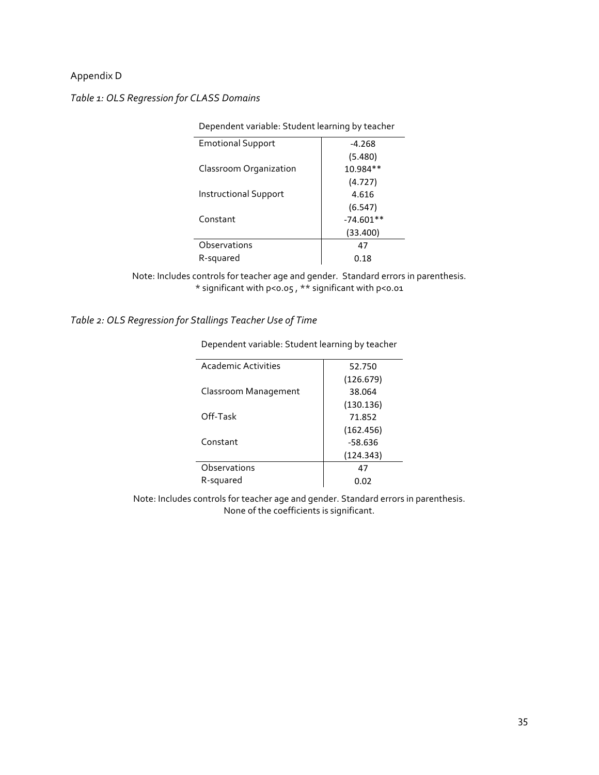#### Appendix D

#### *Table 1: OLS Regression for CLASS Domains*

| Dependent variable: Student learning by teacher |             |
|-------------------------------------------------|-------------|
| <b>Emotional Support</b>                        | $-4.268$    |
|                                                 | (5.480)     |
| Classroom Organization                          | 10.984**    |
|                                                 | (4.727)     |
| <b>Instructional Support</b>                    | 4.616       |
|                                                 | (6.547)     |
| Constant                                        | $-74.601**$ |
|                                                 | (33.400)    |
| Observations                                    | 47          |
| R-squared                                       | 0.18        |

Dependent variable: Student learning by teacher

Note: Includes controls for teacher age and gender. Standard errors in parenthesis. \* significant with p<0.05 , \*\* significant with p<0.01

#### *Table 2: OLS Regression for Stallings Teacher Use of Time*

| <b>Academic Activities</b> | 52.750    |
|----------------------------|-----------|
|                            | (126.679) |
| Classroom Management       | 38.064    |
|                            | (130.136) |
| Off-Task                   | 71.852    |
|                            | (162.456) |
| Constant                   | $-58.636$ |
|                            | (124.343) |
| Observations               | 47        |
| R-squared                  | 0.02      |

Dependent variable: Student learning by teacher

Note: Includes controls for teacher age and gender. Standard errors in parenthesis. None of the coefficients is significant.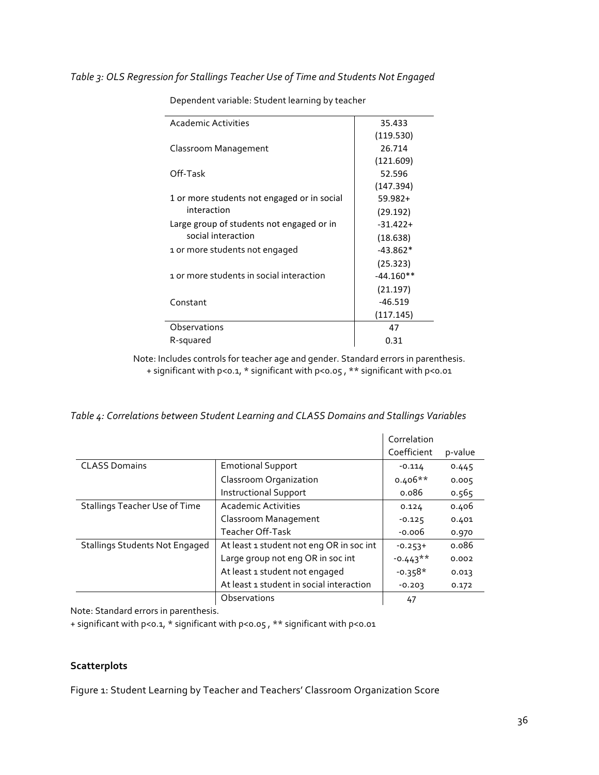#### *Table 3: OLS Regression for Stallings Teacher Use of Time and Students Not Engaged*

| Academic Activities                         | 35.433      |
|---------------------------------------------|-------------|
|                                             | (119.530)   |
| Classroom Management                        | 26.714      |
|                                             | (121.609)   |
| Off-Task                                    | 52.596      |
|                                             | (147.394)   |
| 1 or more students not engaged or in social | 59.982+     |
| interaction                                 | (29.192)    |
| Large group of students not engaged or in   | $-31.422+$  |
| social interaction                          | (18.638)    |
| 1 or more students not engaged              | $-43.862*$  |
|                                             | (25.323)    |
| 1 or more students in social interaction    | $-44.160**$ |
|                                             | (21.197)    |
| Constant                                    | -46.519     |
|                                             | (117.145)   |
| Observations                                | 47          |
| R-squared                                   | 0.31        |

Dependent variable: Student learning by teacher

Note: Includes controls for teacher age and gender. Standard errors in parenthesis. + significant with p<0.1, \* significant with p<0.05 , \*\* significant with p<0.01

|  | Table 4: Correlations between Student Learning and CLASS Domains and Stallings Variables |
|--|------------------------------------------------------------------------------------------|
|  |                                                                                          |

|                                      |                                          | Correlation |         |
|--------------------------------------|------------------------------------------|-------------|---------|
|                                      |                                          | Coefficient | p-value |
| <b>CLASS Domains</b>                 | <b>Emotional Support</b>                 | $-0.114$    | 0.445   |
|                                      | Classroom Organization                   | $0.406**$   | 0.005   |
|                                      | <b>Instructional Support</b>             | 0.086       | 0.565   |
| <b>Stallings Teacher Use of Time</b> | <b>Academic Activities</b>               | 0.124       | 0.406   |
|                                      | Classroom Management                     | $-0.125$    | 0.401   |
|                                      | Teacher Off-Task                         | -0.006      | 0.970   |
| Stallings Students Not Engaged       | At least 1 student not eng OR in soc int | $-0.253+$   | 0.086   |
|                                      | Large group not eng OR in soc int        | $-0.443**$  | 0.002   |
|                                      | At least 1 student not engaged           | $-0.358*$   | 0.013   |
|                                      | At least 1 student in social interaction | $-0.203$    | 0.172   |
|                                      | Observations                             | 47          |         |

Note: Standard errors in parenthesis.

+ significant with p<0.1, \* significant with p<0.05 , \*\* significant with p<0.01

#### **Scatterplots**

Figure 1: Student Learning by Teacher and Teachers' Classroom Organization Score